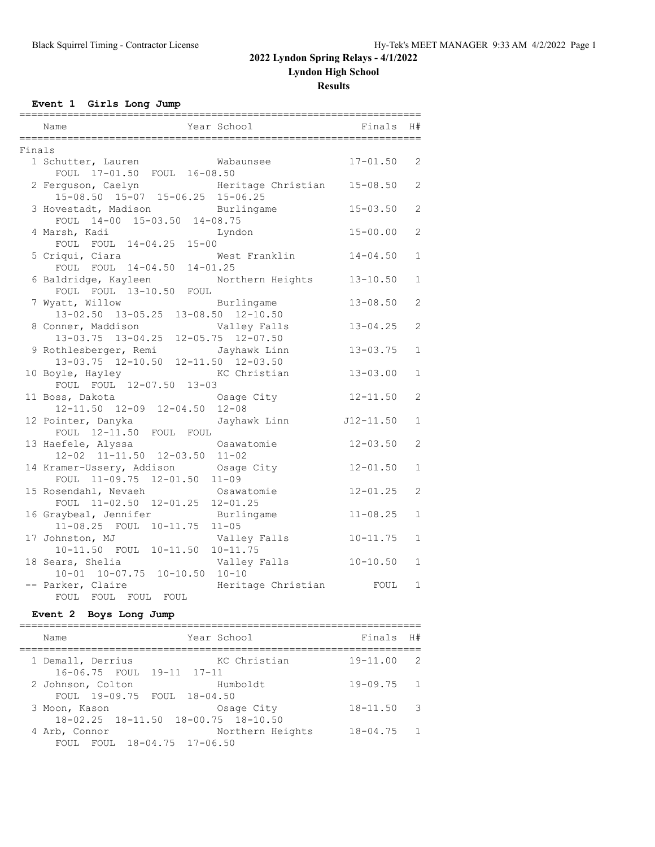**Results**

**Event 1 Girls Long Jump**

|        | Year School<br>Name                                                  |                                           | Finals        | H#             |
|--------|----------------------------------------------------------------------|-------------------------------------------|---------------|----------------|
| Finals |                                                                      |                                           |               |                |
|        | 1 Schutter, Lauren<br>FOUL 17-01.50 FOUL 16-08.50                    | Wabaunsee                                 | $17 - 01.50$  | 2              |
|        | 2 Ferguson, Caelyn<br>15-08.50 15-07 15-06.25 15-06.25               | Heritage Christian                        | $15 - 08.50$  | 2              |
|        | 3 Hovestadt, Madison<br>FOUL 14-00 15-03.50 14-08.75                 | Burlingame                                | $15 - 03.50$  | $\overline{2}$ |
|        | 4 Marsh, Kadi<br>FOUL FOUL 14-04.25 15-00                            | Lyndon                                    | $15 - 00.00$  | 2              |
|        | 5 Criqui, Ciara<br>FOUL FOUL 14-04.50 14-01.25                       | West Franklin                             | $14 - 04.50$  | $\mathbf{1}$   |
|        | 6 Baldridge, Kayleen<br>FOUL FOUL 13-10.50<br>FOUL                   | Northern Heights                          | $13 - 10.50$  | $\mathbf{1}$   |
|        | 7 Wyatt, Willow<br>13-02.50 13-05.25 13-08.50 12-10.50               | Burlingame                                | $13 - 08.50$  | $\overline{c}$ |
|        | 8 Conner, Maddison<br>$13 - 03.75$ $13 - 04.25$                      | Valley Falls<br>$12 - 05.75$ $12 - 07.50$ | $13 - 04.25$  | 2              |
|        | 9 Rothlesberger, Remi<br>13-03.75 12-10.50 12-11.50 12-03.50         | Jayhawk Linn                              | $13 - 03.75$  | $\mathbf{1}$   |
|        | 10 Boyle, Hayley<br>FOUL FOUL 12-07.50 13-03                         | KC Christian                              | $13 - 03.00$  | $\mathbf{1}$   |
|        | 11 Boss, Dakota<br>12-11.50 12-09 12-04.50 12-08                     | Osage City                                | $12 - 11.50$  | 2              |
|        | 12 Pointer, Danyka<br>FOUL 12-11.50 FOUL FOUL                        | Jayhawk Linn                              | $J12 - 11.50$ | $\mathbf{1}$   |
|        | 13 Haefele, Alyssa<br>12-02 11-11.50 12-03.50 11-02                  | Osawatomie                                | $12 - 03.50$  | 2              |
|        | 14 Kramer-Ussery, Addison Osage City<br>FOUL 11-09.75 12-01.50 11-09 |                                           | $12 - 01.50$  | $\mathbf{1}$   |
|        | 15 Rosendahl, Nevaeh<br>FOUL 11-02.50 12-01.25 12-01.25              | Osawatomie                                | $12 - 01.25$  | 2              |
|        | 16 Graybeal, Jennifer<br>11-08.25 FOUL 10-11.75 11-05                | Burlingame                                | $11 - 08.25$  | $\mathbf{1}$   |
|        | 17 Johnston, MJ<br>10-11.50 FOUL 10-11.50                            | Valley Falls<br>$10 - 11.75$              | $10 - 11.75$  | $\mathbf{1}$   |
|        | 18 Sears, Shelia<br>10-01 10-07.75 10-10.50 10-10                    | Valley Falls                              | $10 - 10.50$  | $\mathbf{1}$   |
|        | -- Parker, Claire<br>FOUL FOUL<br>FOUL<br>FOUL                       | Heritage Christian                        | FOUL          | 1              |

## **Event 2 Boys Long Jump**

| Name                                                         | Year School      | Finals H#      |                          |
|--------------------------------------------------------------|------------------|----------------|--------------------------|
| 1 Demall, Derrius<br>16-06.75 FOUL 19-11 17-11               | KC Christian     | $19 - 11.00$   | $\overline{2}$           |
| 2 Johnson, Colton<br>FOUL 19-09.75 FOUL 18-04.50             | Humboldt         | $19 - 09.75$ 1 |                          |
| 3 Moon, Kason<br>$18-02.25$ $18-11.50$ $18-00.75$ $18-10.50$ | Osage City       | $18 - 11.50$   | $\overline{\phantom{a}}$ |
| 4 Arb, Connor<br>FOUL FOUL 18-04.75 17-06.50                 | Northern Heights | $18 - 04.75$   | $\sqrt{1}$               |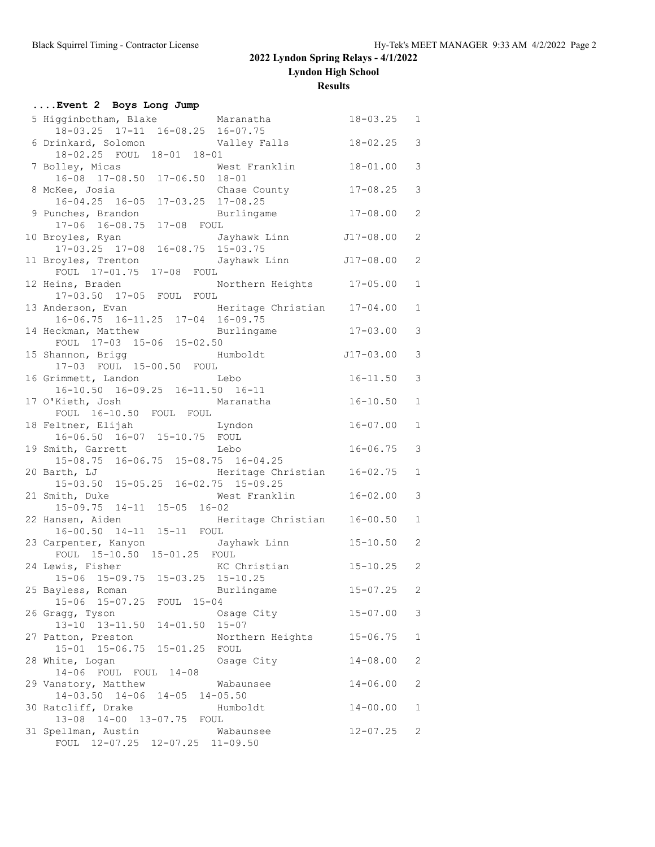**Results**

| Event 2 Boys Long Jump                                                                                        |                             |                |                |
|---------------------------------------------------------------------------------------------------------------|-----------------------------|----------------|----------------|
| 5 Higginbotham, Blake Maranatha<br>18-03.25 17-11 16-08.25 16-07.75                                           |                             | $18 - 03.25$ 1 |                |
| 6 Drinkard, Solomon Valley Falls                                                                              |                             | $18 - 02.25$   | 3              |
| 18-02.25 FOUL 18-01 18-01<br>7 Bolley, Micas                                                                  | West Franklin               | $18 - 01.00$   | 3              |
| 16-08 17-08.50 17-06.50 18-01                                                                                 |                             |                |                |
| 8 McKee, Josia<br>hee, Josia<br>16-04.25 16-05 17-03.25 17-08.25                                              | Chase County                | $17 - 08.25$   | 3              |
| 9 Punches, Brandon<br>17-06 16-08.75 17-08 FOUL                                                               | Burlingame                  | $17 - 08.00$   | $\overline{2}$ |
| 10 Broyles, Ryan<br>: oyles, Ryan                           Jayhawk<br>17-03.25   17-08   16-08.75   15-03.75 | Jayhawk Linn J17-08.00      |                | $\mathbf{2}$   |
| 11 Broyles, Trenton                                                                                           | Jayhawk Linn J17-08.00      |                | $\overline{2}$ |
| FOUL 17-01.75 17-08 FOUL                                                                                      |                             |                |                |
| 12 Heins, Braden<br>17-03.50 17-05 FOUL FOUL                                                                  | Northern Heights 17-05.00   |                | $\mathbf{1}$   |
| 13 Anderson, Evan                                                                                             | Heritage Christian 17-04.00 |                | $\mathbf{1}$   |
| 16-06.75 16-11.25 17-04 16-09.75                                                                              |                             | $17 - 03.00$   | 3              |
| 14 Heckman, Matthew Burlingame<br>FOUL 17-03 15-06 15-02.50                                                   |                             |                |                |
| 15 Shannon, Brigg<br>17-03 FOUL 15-00.50 FOUL                                                                 | Humboldt                    | $J17 - 03.00$  | 3              |
| 16 Grimmett, Landon                                                                                           | Lebo                        | $16 - 11.50$   | 3              |
| $16-10.50$ $16-09.25$ $16-11.50$ $16-11$<br>17 O'Kieth, Josh                                                  | Maranatha                   | $16 - 10.50$   | $\mathbf{1}$   |
| FOUL 16-10.50 FOUL FOUL                                                                                       |                             |                |                |
| 18 Feltner, Elijah<br>16-06.50 16-07 15-10.75 FOUL                                                            | Lyndon                      | $16 - 07.00$   | $\mathbf{1}$   |
| 19 Smith, Garrett<br><u>na mga mga Tebo</u>                                                                   |                             | $16 - 06.75$   | 3              |
| 15-08.75 16-06.75 15-08.75 16-04.25<br>20 Barth, LJ                                                           | Heritage Christian 16-02.75 |                | $\mathbf{1}$   |
| $15-03.50$ $15-05.25$ $16-02.75$ $15-09.25$                                                                   |                             |                | 3              |
| 21 Smith, Duke<br>15-09.75 14-11 15-05 16-02                                                                  | West Franklin               | $16 - 02.00$   |                |
| 22 Hansen, Aiden<br>nsen, Aiden He<br>16-00.50 14-11 15-11 FOUL                                               | Heritage Christian 16-00.50 |                | $\mathbf{1}$   |
| 23 Carpenter, Kanyon                                                                                          | Jayhawk Linn                | $15 - 10.50$   | $\overline{2}$ |
| FOUL 15-10.50 15-01.25 FOUL<br>24 Lewis, Fisher                                                               | KC Christian                | $15 - 10.25$   | 2              |
| 15-06 15-09.75 15-03.25 15-10.25                                                                              |                             |                |                |
| 25 Bayless, Roman<br>15-06 15-07.25 FOUL 15-04                                                                | Burlingame                  | $15 - 07.25$   | $\mathbf{2}$   |
| 26 Gragg, Tyson                                                                                               | Osage City                  | $15 - 07.00$   | 3              |
| 13-10 13-11.50 14-01.50 15-07<br>27 Patton, Preston                                                           | Northern Heights            | $15 - 06.75$   | $\mathbf{1}$   |
| 15-01 15-06.75 15-01.25                                                                                       | FOUL                        |                |                |
| 28 White, Logan<br>14-06 FOUL FOUL 14-08                                                                      | Osage City                  | $14 - 08.00$   | 2              |
| 29 Vanstory, Matthew                                                                                          | Wabaunsee                   | $14 - 06.00$   | $\mathbf{2}$   |
| 14-03.50 14-06 14-05 14-05.50<br>30 Ratcliff, Drake                                                           | Humboldt                    | $14 - 00.00$   | $\mathbf{1}$   |
| 13-08 14-00 13-07.75 FOUL                                                                                     |                             |                |                |
| 31 Spellman, Austin<br>FOUL 12-07.25 12-07.25 11-09.50                                                        | Wabaunsee                   | 12-07.25       | 2              |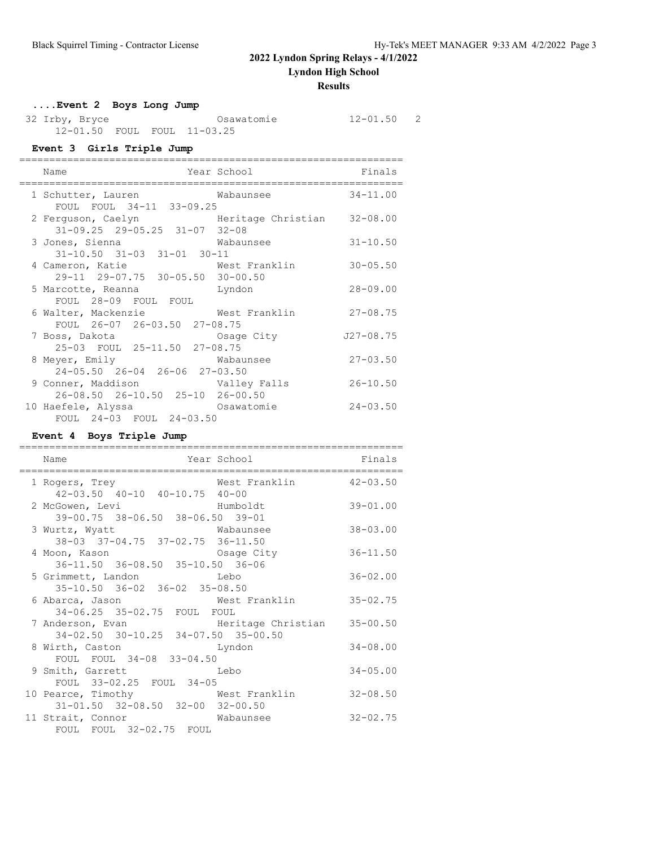**Lyndon High School**

#### **Results**

## **....Event 2 Boys Long Jump**

| 32 Irby, Bryce              |  | Osawatomie | $12 - 01.50$ 2 |  |
|-----------------------------|--|------------|----------------|--|
| 12-01.50 FOUL FOUL 11-03.25 |  |            |                |  |

## **Event 3 Girls Triple Jump**

| Name                                                                     | Year School   | Finals        |
|--------------------------------------------------------------------------|---------------|---------------|
| 1 Schutter, Lauren<br>FOUL FOUL 34-11 33-09.25                           | Wabaunsee     | $34 - 11.00$  |
| 2 Ferguson, Caelyn Meritage Christian<br>$31-09.25$ 29-05.25 31-07 32-08 |               | $32 - 08.00$  |
| 3 Jones, Sienna<br>$31-10.50$ $31-03$ $31-01$ $30-11$                    | Wabaunsee     | $31 - 10.50$  |
| 4 Cameron, Katie                                                         | West Franklin | $30 - 05.50$  |
| 29-11 29-07.75 30-05.50 30-00.50<br>5 Marcotte, Reanna                   | Lyndon        | $28 - 09.00$  |
| FOUL 28-09 FOUL FOUL<br>6 Walter, Mackenzie <b>West Franklin</b>         |               | $27 - 08.75$  |
| FOUL 26-07 26-03.50 27-08.75<br>7 Boss, Dakota                           | Osage City    | $J27 - 08.75$ |
| 25-03 FOUL 25-11.50 27-08.75<br>8 Meyer, Emily                           | Wabaunsee     | $27 - 03.50$  |
| 24-05.50 26-04 26-06 27-03.50<br>9 Conner, Maddison Galley Falls         |               | $26 - 10.50$  |
| 26-08.50 26-10.50 25-10 26-00.50<br>10 Haefele, Alyssa<br>Osawatomie     |               | $24 - 03.50$  |
| FOUL 24-03 FOUL 24-03.50                                                 |               |               |

### **Event 4 Boys Triple Jump**

| Name                                                                                   | Year School            | Finals       |
|----------------------------------------------------------------------------------------|------------------------|--------------|
| 1 Rogers, Trey<br>42-03.50 40-10 40-10.75 40-00                                        | West Franklin 42-03.50 |              |
| 2 McGowen, Levi and Humboldt<br>39-00.75 38-06.50 38-06.50 39-01                       |                        | $39 - 01.00$ |
| 3 Wurtz, Wyatt Mabaunsee<br>38-03 37-04.75 37-02.75 36-11.50                           |                        | $38 - 03.00$ |
| 4 Moon, Kason<br>36-11.50 36-08.50 35-10.50 36-06                                      | Osaqe City             | $36 - 11.50$ |
| 5 Grimmett, Landon and Lebo<br>35-10.50 36-02 36-02 35-08.50                           |                        | $36 - 02.00$ |
| 6 Abarca, Jason                           West Franklin<br>34-06.25 35-02.75 FOUL FOUL |                        | $35 - 02.75$ |
| 7 Anderson, Evan<br>34-02.50 30-10.25 34-07.50 35-00.50                                | Heritage Christian     | $35 - 00.50$ |
| 8 Wirth, Caston Lyndon<br>FOUL FOUL 34-08 33-04.50                                     |                        | $34 - 08.00$ |
| 9 Smith, Garrett Lebo<br>FOUL 33-02.25 FOUL 34-05                                      |                        | $34 - 05.00$ |
| 10 Pearce, Timothy Mest Franklin<br>31-01.50 32-08.50 32-00 32-00.50                   |                        | $32 - 08.50$ |
| Wabaunsee<br>11 Strait, Connor<br>FOUL FOUL 32-02.75 FOUL                              |                        | $32 - 02.75$ |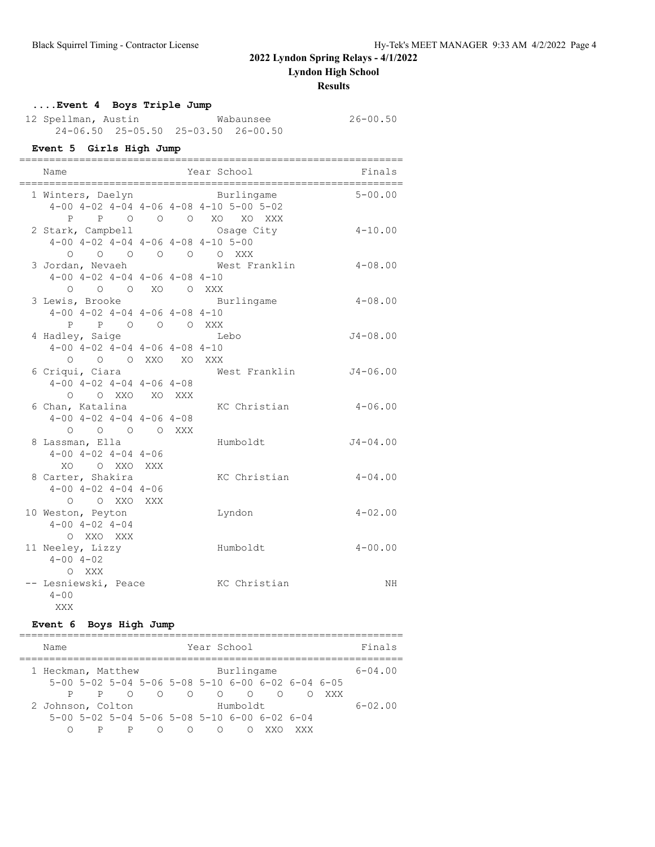#### **Results**

## **....Event 4 Boys Triple Jump**

| 12 Spellman, Austin |                                             | Wabaunsee | $26 - 00.50$ |
|---------------------|---------------------------------------------|-----------|--------------|
|                     | $24-06.50$ $25-05.50$ $25-03.50$ $26-00.50$ |           |              |

## **Event 5 Girls High Jump**

| Name<br>================================ |                            |                                           | ========= | Year School                                                    | . _ _ _ _ _ _ _ _ _ _ _<br>=======<br>Finals |
|------------------------------------------|----------------------------|-------------------------------------------|-----------|----------------------------------------------------------------|----------------------------------------------|
|                                          |                            |                                           |           | 1 Winters, Daelyn Burlingame                                   | $5 - 00.00$                                  |
|                                          |                            |                                           |           | $4-00$ $4-02$ $4-04$ $4-06$ $4-08$ $4-10$ $5-00$ $5-02$        |                                              |
| P                                        |                            |                                           |           | P O O O XO XO XXX                                              |                                              |
| 2 Stark, Campbell                        |                            |                                           |           | Osage City<br>$4-00$ $4-02$ $4-04$ $4-06$ $4-08$ $4-10$ $5-00$ | $4 - 10.00$                                  |
| $\bigcirc$                               |                            |                                           |           | $\begin{matrix} 0 & 0 & 0 & 0 & 0 & \text{XXX} \end{matrix}$   |                                              |
| 3 Jordan, Nevaeh                         |                            |                                           |           | West Franklin                                                  | $4 - 08.00$                                  |
|                                          |                            | $4-00$ $4-02$ $4-04$ $4-06$ $4-08$ $4-10$ |           |                                                                |                                              |
|                                          |                            | O O O XO O XXX                            |           |                                                                |                                              |
| 3 Lewis, Brooke                          |                            |                                           |           | Burlingame                                                     | $4 - 08.00$                                  |
|                                          |                            | $4-00$ $4-02$ $4-04$ $4-06$ $4-08$ $4-10$ |           |                                                                |                                              |
|                                          |                            | P P O O O XXX                             |           |                                                                |                                              |
| 4 Hadley, Saige                          |                            |                                           |           | Lebo                                                           | $J4 - 08.00$                                 |
|                                          |                            | $4-00$ $4-02$ $4-04$ $4-06$ $4-08$ $4-10$ |           |                                                                |                                              |
|                                          |                            | O O O XXO XO XXX                          |           |                                                                |                                              |
| 6 Criqui, Ciara                          |                            |                                           |           | West Franklin                                                  | $J4 - 06.00$                                 |
|                                          |                            | $4-00$ $4-02$ $4-04$ $4-06$ $4-08$        |           |                                                                |                                              |
|                                          |                            | O O XXO XO XXX                            |           |                                                                |                                              |
| 6 Chan, Katalina                         |                            |                                           |           | KC Christian                                                   | $4 - 06.00$                                  |
|                                          |                            | $4-00$ $4-02$ $4-04$ $4-06$ $4-08$        |           |                                                                |                                              |
|                                          |                            | 0 0 0 0 XXX                               |           |                                                                |                                              |
| 8 Lassman, Ella                          |                            |                                           |           | Humboldt                                                       | $J4 - 04.00$                                 |
|                                          |                            | $4 - 00$ $4 - 02$ $4 - 04$ $4 - 06$       |           |                                                                |                                              |
|                                          |                            | XO O XXO XXX                              |           |                                                                |                                              |
| 8 Carter, Shakira                        |                            |                                           |           | KC Christian                                                   | $4 - 04.00$                                  |
|                                          |                            | $4 - 00$ $4 - 02$ $4 - 04$ $4 - 06$       |           |                                                                |                                              |
|                                          |                            | O O XXO XXX                               |           |                                                                |                                              |
| 10 Weston, Peyton                        |                            |                                           |           | Lyndon                                                         | $4 - 02.00$                                  |
|                                          | $4 - 00$ $4 - 02$ $4 - 04$ |                                           |           |                                                                |                                              |
|                                          | O XXO XXX                  |                                           |           |                                                                | $4 - 00.00$                                  |
| 11 Neeley, Lizzy                         | $4 - 00$ $4 - 02$          |                                           |           | Humboldt                                                       |                                              |
|                                          | O XXX                      |                                           |           |                                                                |                                              |
| -- Lesniewski, Peace                     |                            |                                           |           | KC Christian                                                   | NΗ                                           |
| $4 - 00$                                 |                            |                                           |           |                                                                |                                              |
| XXX                                      |                            |                                           |           |                                                                |                                              |

#### **Event 6 Boys High Jump**

| Name               |              |   |                                                                       |   | Year School     |            |        |     | Finals      |
|--------------------|--------------|---|-----------------------------------------------------------------------|---|-----------------|------------|--------|-----|-------------|
| 1 Heckman, Matthew |              |   |                                                                       |   |                 | Burlingame |        |     | $6 - 04.00$ |
|                    |              |   | $5-00$ $5-02$ $5-04$ $5-06$ $5-08$ $5-10$ $6-00$ $6-02$ $6-04$ $6-05$ |   |                 |            |        |     |             |
| P.                 | $\mathsf{P}$ | ∩ | $\cap$                                                                |   | $\circ$ $\circ$ | $\cap$     | $\cap$ | XXX |             |
| 2 Johnson, Colton  |              |   |                                                                       |   |                 | Humboldt   |        |     | $6 - 02.00$ |
|                    |              |   | $5-00$ $5-02$ $5-04$ $5-06$ $5-08$ $5-10$ $6-00$ $6-02$ $6-04$        |   |                 |            |        |     |             |
|                    |              |   |                                                                       | ∩ | ∩               |            |        |     |             |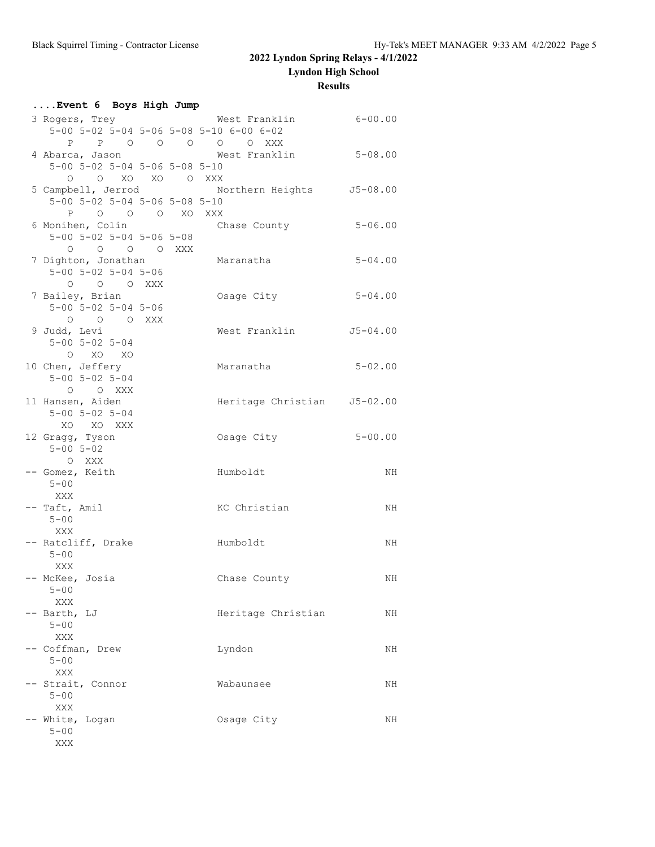#### **Results**

| Event 6 Boys High Jump                                 |                 |  |  |                                              |             |  |  |  |
|--------------------------------------------------------|-----------------|--|--|----------------------------------------------|-------------|--|--|--|
| 3 Rogers, Trey                                         |                 |  |  | West Franklin                                | 6-00.00     |  |  |  |
|                                                        |                 |  |  | 5-00 5-02 5-04 5-06 5-08 5-10 6-00 6-02      |             |  |  |  |
|                                                        |                 |  |  | P P O O O O O XXX                            |             |  |  |  |
| 4 Abarca, Jason                                        |                 |  |  | West Franklin 5-08.00                        |             |  |  |  |
| 5-00 5-02 5-04 5-06 5-08 5-10                          |                 |  |  |                                              |             |  |  |  |
|                                                        | O O XO XO O XXX |  |  |                                              |             |  |  |  |
|                                                        |                 |  |  | 5 Campbell, Jerrod Morthern Heights 55-08.00 |             |  |  |  |
| 5-00 5-02 5-04 5-06 5-08 5-10                          |                 |  |  |                                              |             |  |  |  |
|                                                        | P O O O XO XXX  |  |  |                                              |             |  |  |  |
| 6 Monihen, Colin                                       |                 |  |  | Chase County 5-06.00                         |             |  |  |  |
| $5 - 00$ $5 - 02$ $5 - 04$ $5 - 06$ $5 - 08$           |                 |  |  |                                              |             |  |  |  |
|                                                        | 0 0 0 0 XXX     |  |  |                                              |             |  |  |  |
| 7 Dighton, Jonathan                                    |                 |  |  | Maranatha                                    | $5 - 04.00$ |  |  |  |
| $5 - 00$ $5 - 02$ $5 - 04$ $5 - 06$                    |                 |  |  |                                              |             |  |  |  |
|                                                        | O O O XXX       |  |  |                                              | $5 - 04.00$ |  |  |  |
| 7 Bailey, Brian<br>$5 - 00$ $5 - 02$ $5 - 04$ $5 - 06$ |                 |  |  | Osage City                                   |             |  |  |  |
|                                                        | O O O XXX       |  |  |                                              |             |  |  |  |
| 9 Judd, Levi                                           |                 |  |  | West Franklin                                | J5-04.00    |  |  |  |
| $5 - 00$ $5 - 02$ $5 - 04$                             |                 |  |  |                                              |             |  |  |  |
| O XO XO                                                |                 |  |  |                                              |             |  |  |  |
| 10 Chen, Jeffery                                       |                 |  |  | Maranatha                                    | $5 - 02.00$ |  |  |  |
| $5 - 00$ $5 - 02$ $5 - 04$                             |                 |  |  |                                              |             |  |  |  |
|                                                        | O O XXX         |  |  |                                              |             |  |  |  |
| 11 Hansen, Aiden                                       |                 |  |  | Heritage Christian J5-02.00                  |             |  |  |  |
| $5 - 00$ $5 - 02$ $5 - 04$                             |                 |  |  |                                              |             |  |  |  |
|                                                        | XO XO XXX       |  |  |                                              |             |  |  |  |
| 12 Gragg, Tyson                                        |                 |  |  | Osage City                                   | $5 - 00.00$ |  |  |  |
| $5 - 00$ $5 - 02$                                      |                 |  |  |                                              |             |  |  |  |
| O XXX                                                  |                 |  |  |                                              |             |  |  |  |
| -- Gomez, Keith<br>$5 - 00$                            |                 |  |  | Humboldt                                     | NH.         |  |  |  |
| XXX                                                    |                 |  |  |                                              |             |  |  |  |
| -- Taft, Amil                                          |                 |  |  | KC Christian                                 | NH.         |  |  |  |
| $5 - 00$                                               |                 |  |  |                                              |             |  |  |  |
| XXX                                                    |                 |  |  |                                              |             |  |  |  |
| -- Ratcliff, Drake                                     |                 |  |  | Humboldt                                     | NH.         |  |  |  |
| $5 - 00$                                               |                 |  |  |                                              |             |  |  |  |
| XXX                                                    |                 |  |  |                                              |             |  |  |  |
| -- McKee, Josia                                        |                 |  |  | Chase County                                 | ΝH          |  |  |  |
| $5 - 00$                                               |                 |  |  |                                              |             |  |  |  |
| XXX                                                    |                 |  |  |                                              |             |  |  |  |
| -- Barth, LJ                                           |                 |  |  | Heritage Christian                           | NH          |  |  |  |
| $5 - 00$                                               |                 |  |  |                                              |             |  |  |  |
| XXX                                                    |                 |  |  |                                              |             |  |  |  |
| -- Coffman, Drew                                       |                 |  |  | Lyndon                                       | NH          |  |  |  |
| $5 - 00$                                               |                 |  |  |                                              |             |  |  |  |
| XXX<br>-- Strait, Connor                               |                 |  |  | Wabaunsee                                    | NH          |  |  |  |
| $5 - 00$                                               |                 |  |  |                                              |             |  |  |  |
| XXX                                                    |                 |  |  |                                              |             |  |  |  |
| -- White, Logan                                        |                 |  |  | Osage City                                   | NH          |  |  |  |
| $5 - 00$                                               |                 |  |  |                                              |             |  |  |  |
| XXX                                                    |                 |  |  |                                              |             |  |  |  |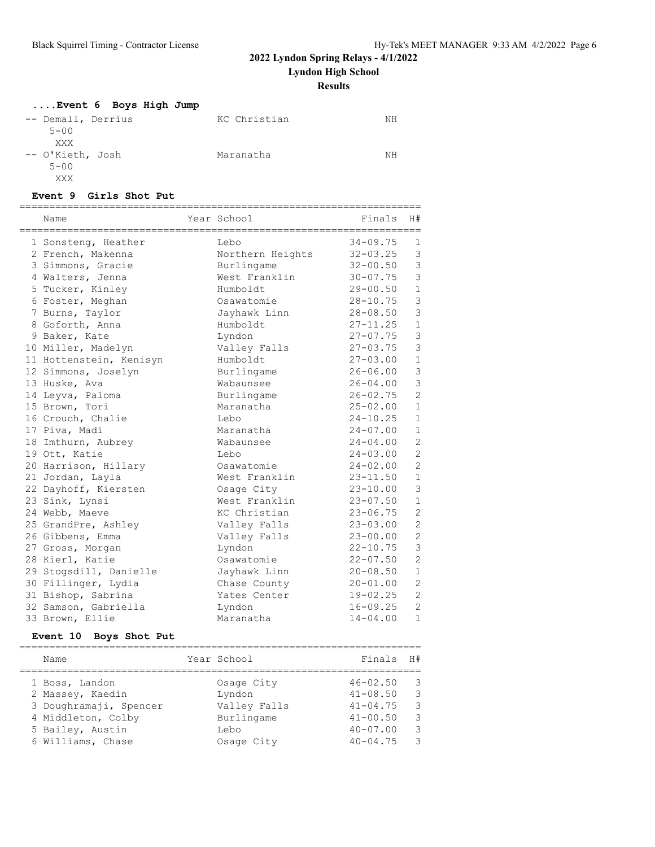| Event 6 Boys High Jump |              |    |
|------------------------|--------------|----|
| -- Demall, Derrius     | KC Christian | ΝH |
| $5 - 00$               |              |    |
| XXX                    |              |    |
| -- O'Kieth, Josh       | Maranatha    | ΝH |
| $5 - 00$               |              |    |
| XXX                    |              |    |

#### **Event 9 Girls Shot Put**

| Name                    | Year School      | Finals       | H#             |
|-------------------------|------------------|--------------|----------------|
| 1 Sonsteng, Heather     | Lebo             | $34 - 09.75$ | 1              |
| 2 French, Makenna       | Northern Heights | $32 - 03.25$ | $\mathcal{E}$  |
| 3 Simmons, Gracie       | Burlingame       | $32 - 00.50$ | $\mathfrak{Z}$ |
| 4 Walters, Jenna        | West Franklin    | $30 - 07.75$ | $\mathbf{3}$   |
| 5 Tucker, Kinley        | Humboldt         | $29 - 00.50$ | $1\,$          |
| 6 Foster, Meghan        | Osawatomie       | $28 - 10.75$ | $\mathbf{3}$   |
| 7 Burns, Taylor         | Jayhawk Linn     | $28 - 08.50$ | $\mathfrak{Z}$ |
| 8 Goforth, Anna         | Humboldt         | $27 - 11.25$ | $\mathbf{1}$   |
| 9 Baker, Kate           | Lyndon           | $27 - 07.75$ | 3              |
| 10 Miller, Madelyn      | Valley Falls     | $27 - 03.75$ | $\mathbf{3}$   |
| 11 Hottenstein, Kenisyn | Humboldt         | $27 - 03.00$ | $1\,$          |
| 12 Simmons, Joselyn     | Burlingame       | $26 - 06.00$ | 3              |
| 13 Huske, Ava           | Wabaunsee        | $26 - 04.00$ | 3              |
| 14 Leyva, Paloma        | Burlingame       | $26 - 02.75$ | $\overline{c}$ |
| 15 Brown, Tori          | Maranatha        | $25 - 02.00$ | $\mathbf{1}$   |
| 16 Crouch, Chalie       | Lebo             | $24 - 10.25$ | $\mathbf{1}$   |
| 17 Piva, Madi           | Maranatha        | $24 - 07.00$ | $\mathbf{1}$   |
| 18 Imthurn, Aubrey      | Wabaunsee        | $24 - 04.00$ | $\overline{c}$ |
| 19 Ott, Katie           | Lebo             | $24 - 03.00$ | $\overline{c}$ |
| 20 Harrison, Hillary    | Osawatomie       | $24 - 02.00$ | $\overline{c}$ |
| 21 Jordan, Layla        | West Franklin    | $23 - 11.50$ | $\mathbf{1}$   |
| 22 Dayhoff, Kiersten    | Osage City       | $23 - 10.00$ | $\mathbf{3}$   |
| 23 Sink, Lynsi          | West Franklin    | $23 - 07.50$ | $1\,$          |
| 24 Webb, Maeve          | KC Christian     | $23 - 06.75$ | $\overline{c}$ |
| 25 GrandPre, Ashley     | Valley Falls     | $23 - 03.00$ | $\overline{c}$ |
| 26 Gibbens, Emma        | Valley Falls     | $23 - 00.00$ | $\overline{c}$ |
| 27 Gross, Morgan        | Lyndon           | $22 - 10.75$ | 3              |
| 28 Kierl, Katie         | Osawatomie       | $22 - 07.50$ | $\overline{c}$ |
| 29 Stogsdill, Danielle  | Jayhawk Linn     | $20 - 08.50$ | $\mathbf{1}$   |
| 30 Fillinger, Lydia     | Chase County     | $20 - 01.00$ | $\overline{c}$ |
| 31 Bishop, Sabrina      | Yates Center     | $19 - 02.25$ | $\overline{c}$ |
| 32 Samson, Gabriella    | Lyndon           | $16 - 09.25$ | $\overline{c}$ |
| 33 Brown, Ellie         | Maranatha        | $14 - 04.00$ | $\mathbf{1}$   |

## **Event 10 Boys Shot Put**

| Name                   | Year School  | Finals       | H#                      |
|------------------------|--------------|--------------|-------------------------|
| 1 Boss, Landon         | Osage City   | $46 - 02.50$ | -3                      |
| 2 Massey, Kaedin       | Lyndon       | $41 - 08.50$ | $\mathcal{E}$           |
| 3 Doughramaji, Spencer | Valley Falls | $41 - 04.75$ | $\overline{\mathbf{3}}$ |
| 4 Middleton, Colby     | Burlingame   | $41 - 00.50$ | 3                       |
| 5 Bailey, Austin       | Lebo         | $40 - 07.00$ | -3                      |
| 6 Williams, Chase      | Osage City   | $40 - 04.75$ | -3                      |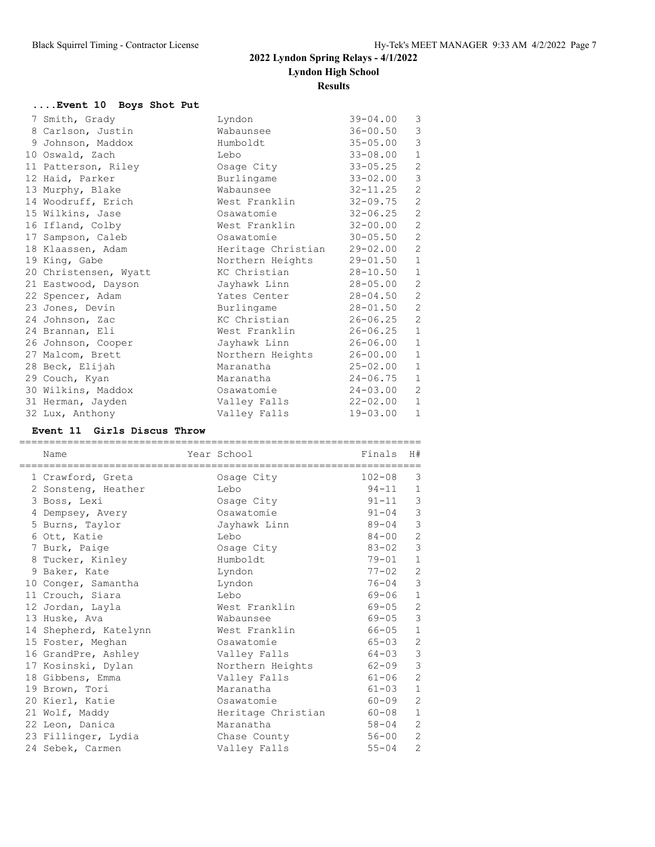## **....Event 10 Boys Shot Put**

| 7 Smith, Grady        | Lyndon                 | $39 - 04.00$ | 3              |
|-----------------------|------------------------|--------------|----------------|
| 8 Carlson, Justin     | Wabaunsee              | $36 - 00.50$ | $\mathfrak{Z}$ |
| 9 Johnson, Maddox     | Humboldt               | $35 - 05.00$ | $\mathfrak{Z}$ |
| 10 Oswald, Zach       | Lebo                   | $33 - 08.00$ | $\,1\,$        |
| 11 Patterson, Riley   | Osage City             | $33 - 05.25$ | $\sqrt{2}$     |
| 12 Haid, Parker       | Burlingame             | $33 - 02.00$ | $\mathsf 3$    |
| 13 Murphy, Blake      | Wabaunsee              | $32 - 11.25$ | $\sqrt{2}$     |
| 14 Woodruff, Erich    | West Franklin          | $32 - 09.75$ | $\sqrt{2}$     |
| 15 Wilkins, Jase      | Osawatomie             | $32 - 06.25$ | $\sqrt{2}$     |
| 16 Ifland, Colby      | West Franklin 32-00.00 |              | $\sqrt{2}$     |
| 17 Sampson, Caleb     | Osawatomie             | $30 - 05.50$ | $\sqrt{2}$     |
| 18 Klaassen, Adam     | Heritage Christian     | 29-02.00     | $\sqrt{2}$     |
| 19 King, Gabe         | Northern Heights       | 29-01.50     | $\,1\,$        |
| 20 Christensen, Wyatt | KC Christian           | 28-10.50     | $\,1\,$        |
| 21 Eastwood, Dayson   | Jayhawk Linn           | 28-05.00     | $\sqrt{2}$     |
| 22 Spencer, Adam      | Yates Center           | 28-04.50     | $\sqrt{2}$     |
| 23 Jones, Devin       | Burlingame             | 28-01.50     | $\sqrt{2}$     |
| 24 Johnson, Zac       | KC Christian           | $26 - 06.25$ | $\sqrt{2}$     |
| 24 Brannan, Eli       | West Franklin 26-06.25 |              | $\mathbf{1}$   |
| 26 Johnson, Cooper    | Jayhawk Linn           | 26-06.00     | $\,1\,$        |
| 27 Malcom, Brett      | Northern Heights       | 26-00.00     | $\,1\,$        |
| 28 Beck, Elijah       | Maranatha              | $25 - 02.00$ | $\,1\,$        |
| 29 Couch, Kyan        | Maranatha              | $24 - 06.75$ | $\mathbf{1}$   |
| 30 Wilkins, Maddox    | Osawatomie             | 24-03.00     | $\sqrt{2}$     |
| 31 Herman, Jayden     | Valley Falls           | 22-02.00     | $\,1\,$        |
| 32 Lux, Anthony       | Valley Falls           | $19 - 03.00$ | $\mathbf{1}$   |

### **Event 11 Girls Discus Throw**

| Name                   | Year School                   | Finals      | H#             |
|------------------------|-------------------------------|-------------|----------------|
| ---------------------- | ----------------------------- |             |                |
| 1 Crawford, Greta      | Osage City                    | $102 - 08$  | 3              |
| 2 Sonsteng, Heather    | Lebo                          | $94 - 11$ 1 |                |
| 3 Boss, Lexi           | Osage City                    | $91 - 11$   | 3              |
| 4 Dempsey, Avery       | Osawatomie                    | $91 - 04$   | $\mathcal{S}$  |
| 5 Burns, Taylor        | Jayhawk Linn                  | 89-04       | $\mathfrak{Z}$ |
| 6 Ott, Katie           | Lebo                          | 84-00       | 2              |
| 7 Burk, Paige          | Osage City                    | 83-02       | $\mathfrak{Z}$ |
| 8 Tucker, Kinley       | Humboldt                      | $79 - 01$   | $\mathbf{1}$   |
| 9 Baker, Kate          | Lyndon                        | $77 - 02$   | 2              |
| 10 Conger, Samantha    | Lyndon                        | $76 - 04$   | $\mathcal{S}$  |
| 11 Crouch, Siara       | Lebo                          | 69-06       | $\mathbf{1}$   |
| 12 Jordan, Layla       | West Franklin                 | 69-05       | $\mathbf{2}$   |
| 13 Huske, Ava          | Wabaunsee                     | 69-05       | $\mathfrak{Z}$ |
| 14 Shepherd, Katelynn  | West Franklin                 | 66-05       | $\mathbf{1}$   |
| 15 Foster, Meghan      | Osawatomie                    | $65 - 03$   | 2              |
| 16 GrandPre, Ashley    | Valley Falls                  | 64-03       | 3              |
| 17 Kosinski, Dylan     | Northern Heights              | $62 - 09$   | 3              |
| 18 Gibbens, Emma       | Valley Falls                  | $61 - 06$   | 2              |
| 19 Brown, Tori         | Maranatha                     | $61 - 03$   | $\mathbf{1}$   |
| 20 Kierl, Katie        | Osawatomie                    | 60-09       | 2              |
| 21 Wolf, Maddy         | Heritage Christian            | 60-08       | $\mathbf{1}$   |
| 22 Leon, Danica        | Maranatha                     | $58 - 04$   | 2              |
| 23 Fillinger, Lydia    | Chase County                  | $56 - 00$   | $\overline{2}$ |
| 24 Sebek, Carmen       | Valley Falls                  | $55 - 04$   | 2              |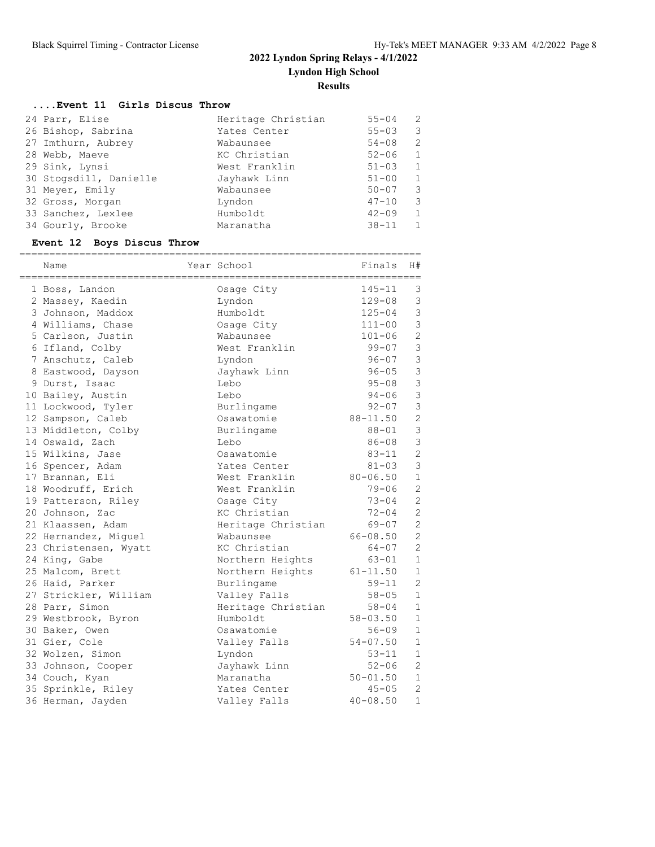#### **....Event 11 Girls Discus Throw**

| 24 Parr, Elise         | Heritage Christian | $55 - 04$ | 2              |
|------------------------|--------------------|-----------|----------------|
| 26 Bishop, Sabrina     | Yates Center       | $55 - 03$ | 3              |
| 27 Imthurn, Aubrey     | Wabaunsee          | $54 - 08$ | 2              |
| 28 Webb, Maeve         | KC Christian       | $52 - 06$ | 1              |
| 29 Sink, Lynsi         | West Franklin      | $51 - 03$ | 1              |
| 30 Stogsdill, Danielle | Jayhawk Linn       | $51 - 00$ | 1              |
| 31 Meyer, Emily        | Wabaunsee          | $50 - 07$ | 3              |
| 32 Gross, Morgan       | Lyndon             | $47 - 10$ | 3              |
| 33 Sanchez, Lexlee     | Humboldt           | $42 - 09$ | 1              |
| 34 Gourly, Brooke      | Maranatha          | $38 - 11$ | $\overline{1}$ |

#### **Event 12 Boys Discus Throw**

| Name                  | Year School        | Finals       | H#             |
|-----------------------|--------------------|--------------|----------------|
| 1 Boss, Landon        | Osage City         | 145-11       | 3              |
| 2 Massey, Kaedin      | Lyndon             | $129 - 08$   | 3              |
| 3 Johnson, Maddox     | Humboldt           | $125 - 04$   | $\mathfrak{Z}$ |
| 4 Williams, Chase     | Osage City         | $111 - 00$   | 3              |
| 5 Carlson, Justin     | Wabaunsee          | $101 - 06$   | $\overline{c}$ |
| 6 Ifland, Colby       | West Franklin      | $99 - 07$    | $\mathfrak{Z}$ |
| 7 Anschutz, Caleb     | Lyndon             | $96 - 07$    | $\mathfrak{Z}$ |
| 8 Eastwood, Dayson    | Jayhawk Linn       | $96 - 05$    | $\mathfrak{Z}$ |
| 9 Durst, Isaac        | Lebo               | $95 - 08$    | $\mathfrak{Z}$ |
| 10 Bailey, Austin     | Lebo               | $94 - 06$    | $\mathfrak{Z}$ |
| 11 Lockwood, Tyler    | Burlingame         | $92 - 07$    | $\mathfrak{Z}$ |
| 12 Sampson, Caleb     | Osawatomie         | $88 - 11.50$ | $\overline{c}$ |
| 13 Middleton, Colby   | Burlingame         | $88 - 01$    | $\mathfrak{Z}$ |
| 14 Oswald, Zach       | Lebo               | 86-08        | $\mathfrak{Z}$ |
| 15 Wilkins, Jase      | Osawatomie         | $83 - 11$    | $\overline{c}$ |
| 16 Spencer, Adam      | Yates Center       | $81 - 03$    | 3              |
| 17 Brannan, Eli       | West Franklin      | $80 - 06.50$ | $\mathbf 1$    |
| 18 Woodruff, Erich    | West Franklin      | $79 - 06$    | $\overline{c}$ |
| 19 Patterson, Riley   | Osage City         | $73 - 04$    | $\overline{2}$ |
| 20 Johnson, Zac       | KC Christian       | $72 - 04$    | $\overline{2}$ |
| 21 Klaassen, Adam     | Heritage Christian | 69-07        | $\overline{2}$ |
| 22 Hernandez, Miquel  | Wabaunsee          | $66 - 08.50$ | $\overline{2}$ |
| 23 Christensen, Wyatt | KC Christian       | $64 - 07$    | $\overline{2}$ |
| 24 King, Gabe         | Northern Heights   | $63 - 01$    | $\mathbf{1}$   |
| 25 Malcom, Brett      | Northern Heights   | $61 - 11.50$ | $\mathbf{1}$   |
| 26 Haid, Parker       | Burlingame         | $59 - 11$    | $\overline{2}$ |
| 27 Strickler, William | Valley Falls       | $58 - 05$    | $\mathbf{1}$   |
| 28 Parr, Simon        | Heritage Christian | $58 - 04$    | $\mathbf{1}$   |
| 29 Westbrook, Byron   | Humboldt           | $58 - 03.50$ | $\mathbf{1}$   |
| 30 Baker, Owen        | Osawatomie         | $56 - 09$    | $\mathbf{1}$   |
| 31 Gier, Cole         | Valley Falls       | $54 - 07.50$ | $\mathbf{1}$   |
| 32 Wolzen, Simon      | Lyndon             | $53 - 11$    | $\mathbf{1}$   |
| 33 Johnson, Cooper    | Jayhawk Linn       | $52 - 06$    | $\overline{2}$ |
| 34 Couch, Kyan        | Maranatha          | $50 - 01.50$ | $\mathbf{1}$   |
| 35 Sprinkle, Riley    | Yates Center       | $45 - 05$    | $\overline{c}$ |
| 36 Herman, Jayden     | Valley Falls       | $40 - 08.50$ | $\mathbf{1}$   |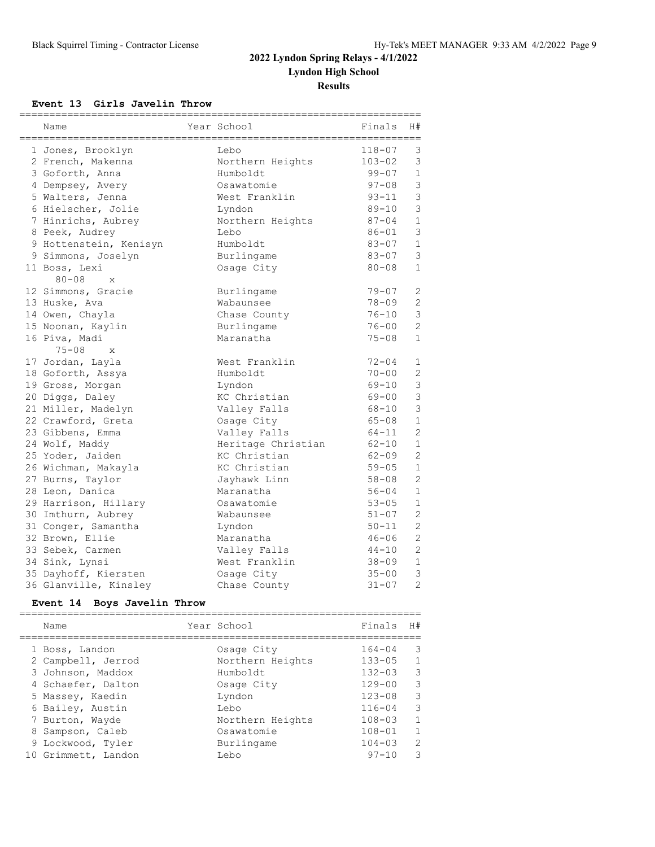#### **Event 13 Girls Javelin Throw**

| Name                            | Year School        | Finals     | H#             |
|---------------------------------|--------------------|------------|----------------|
| 1 Jones, Brooklyn               | Lebo               | 118-07     | 3              |
| 2 French, Makenna               | Northern Heights   | $103 - 02$ | $\mathcal{S}$  |
| 3 Goforth, Anna                 | Humboldt           | $99 - 07$  | $1\,$          |
| 4 Dempsey, Avery                | Osawatomie         | $97 - 08$  | 3              |
| 5 Walters, Jenna                | West Franklin      | $93 - 11$  | 3              |
| 6 Hielscher, Jolie              | Lyndon             | $89 - 10$  | $\mathbf{3}$   |
| 7 Hinrichs, Aubrey              | Northern Heights   | $87 - 04$  | $\mathbf{1}$   |
| 8 Peek, Audrey                  | Lebo               | $86 - 01$  | $\mathbf{3}$   |
| 9 Hottenstein, Kenisyn          | Humboldt           | $83 - 07$  | $1\,$          |
| 9 Simmons, Joselyn              | Burlingame         | $83 - 07$  | $\mathcal{S}$  |
| 11 Boss, Lexi<br>$80 - 08$<br>X | Osage City         | $80 - 08$  | $\mathbf{1}$   |
| 12 Simmons, Gracie              | Burlingame         | $79 - 07$  | 2              |
| 13 Huske, Ava                   | Wabaunsee          | $78 - 09$  | $\overline{c}$ |
| 14 Owen, Chayla                 | Chase County       | $76 - 10$  | $\mathfrak{Z}$ |
| 15 Noonan, Kaylin               | Burlingame         | $76 - 00$  | $\overline{c}$ |
| 16 Piva, Madi                   | Maranatha          | $75 - 08$  | $\mathbf{1}$   |
| $75 - 08$<br>$\mathbf{x}$       |                    |            |                |
| 17 Jordan, Layla                | West Franklin      | $72 - 04$  | 1              |
| 18 Goforth, Assya               | Humboldt           | $70 - 00$  | $\mathbf{2}$   |
| 19 Gross, Morgan                | Lyndon             | 69-10      | 3              |
| 20 Diggs, Daley                 | KC Christian       | $69 - 00$  | $\mathcal{S}$  |
| 21 Miller, Madelyn              | Valley Falls       | $68 - 10$  | 3              |
| 22 Crawford, Greta              | Osage City         | $65 - 08$  | $\mathbf{1}$   |
| 23 Gibbens, Emma                | Valley Falls       | $64 - 11$  | $\overline{c}$ |
| 24 Wolf, Maddy                  | Heritage Christian | $62 - 10$  | $\mathbf{1}$   |
| 25 Yoder, Jaiden                | KC Christian       | $62 - 09$  | $\overline{c}$ |
| 26 Wichman, Makayla             | KC Christian       | $59 - 05$  | $\mathbf{1}$   |
| 27 Burns, Taylor                | Jayhawk Linn       | $58 - 08$  | $\overline{2}$ |
| 28 Leon, Danica                 | Maranatha          | $56 - 04$  | $1\,$          |
| 29 Harrison, Hillary            | Osawatomie         | $53 - 05$  | $\mathbf{1}$   |
| 30 Imthurn, Aubrey              | Wabaunsee          | $51 - 07$  | $\mathbf{2}$   |
| 31 Conger, Samantha             | Lyndon             | $50 - 11$  | $\overline{c}$ |
| 32 Brown, Ellie                 | Maranatha          | $46 - 06$  | $\overline{c}$ |
| 33 Sebek, Carmen                | Valley Falls       | $44 - 10$  | $\overline{c}$ |
| 34 Sink, Lynsi                  | West Franklin      | $38 - 09$  | $\mathbf{1}$   |
| 35 Dayhoff, Kiersten            | Osage City         | $35 - 00$  | 3              |
| 36 Glanville, Kinsley           | Chase County       | $31 - 07$  | $\overline{c}$ |

#### **Event 14 Boys Javelin Throw**

|  | Name                | Year School      | Finals     | H#             |
|--|---------------------|------------------|------------|----------------|
|  | 1 Boss, Landon      | Osage City       | $164 - 04$ | 3              |
|  | 2 Campbell, Jerrod  | Northern Heights | $133 - 05$ | 1              |
|  | 3 Johnson, Maddox   | Humboldt         | $132 - 03$ | 3              |
|  | 4 Schaefer, Dalton  | Osage City       | $129 - 00$ | 3              |
|  | 5 Massey, Kaedin    | Lyndon           | $123 - 08$ | 3              |
|  | 6 Bailey, Austin    | Lebo             | $116 - 04$ | 3              |
|  | 7 Burton, Wayde     | Northern Heights | $108 - 03$ | $\mathbf{1}$   |
|  | 8 Sampson, Caleb    | Osawatomie       | $108 - 01$ | $\mathbf{1}$   |
|  | 9 Lockwood, Tyler   | Burlingame       | $104 - 03$ | $\overline{2}$ |
|  | 10 Grimmett, Landon | Lebo             | $97 - 10$  | 3              |
|  |                     |                  |            |                |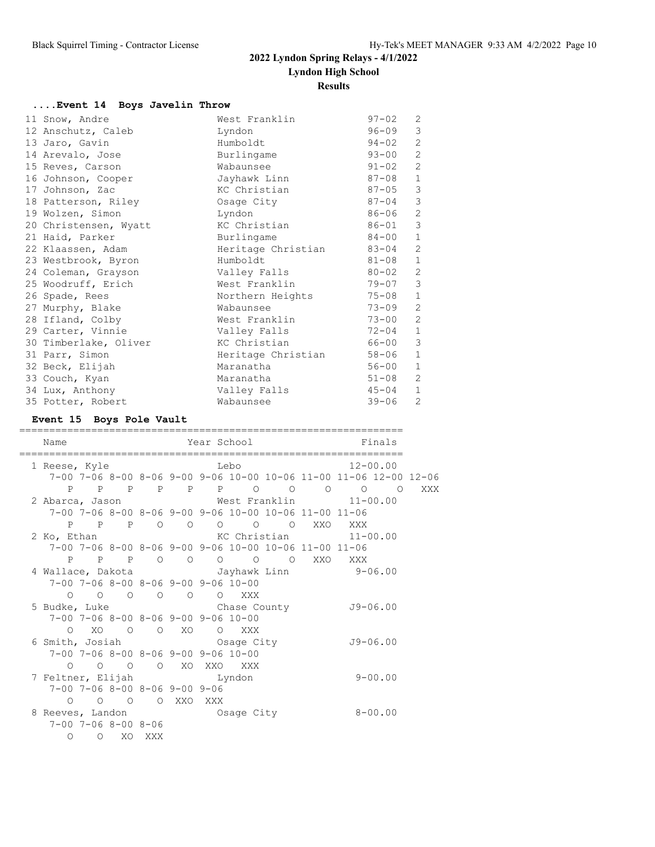## **....Event 14 Boys Javelin Throw**

| 11 Snow, Andre        | West Franklin      | $97 - 02$ | 2              |
|-----------------------|--------------------|-----------|----------------|
| 12 Anschutz, Caleb    | Lyndon             | $96 - 09$ | 3              |
| 13 Jaro, Gavin        | Humboldt           | $94 - 02$ | $\mathbf{2}$   |
| 14 Arevalo, Jose      | Burlingame         | $93 - 00$ | $\overline{2}$ |
| 15 Reves, Carson      | Wabaunsee          | $91 - 02$ | 2              |
| 16 Johnson, Cooper    | Jayhawk Linn       | 87-08     | $\mathbf{1}$   |
| 17 Johnson, Zac       | KC Christian       | $87 - 05$ | $\mathcal{S}$  |
| 18 Patterson, Riley   | Osage City         | $87 - 04$ | 3              |
| 19 Wolzen, Simon      | Lyndon             | 86-06     | $\mathbf{2}$   |
| 20 Christensen, Wyatt | KC Christian       | 86-01     | $\mathcal{E}$  |
| 21 Haid, Parker       | Burlingame         | 84-00     | $\mathbf{1}$   |
| 22 Klaassen, Adam     | Heritage Christian | $83 - 04$ | 2              |
| 23 Westbrook, Byron   | Humboldt           | 81-08     | $\mathbf{1}$   |
| 24 Coleman, Grayson   | Valley Falls       | $80 - 02$ | 2              |
| 25 Woodruff, Erich    | West Franklin      | $79 - 07$ | $\mathfrak{Z}$ |
| 26 Spade, Rees        | Northern Heights   | 75-08     | $\mathbf{1}$   |
| 27 Murphy, Blake      | Wabaunsee          | $73 - 09$ | $\mathbf{2}$   |
| 28 Ifland, Colby      | West Franklin      | $73 - 00$ | 2              |
| 29 Carter, Vinnie     | Valley Falls       | $72 - 04$ | $\mathbf{1}$   |
| 30 Timberlake, Oliver | KC Christian       | 66-00     | 3              |
| 31 Parr, Simon        | Heritage Christian | 58-06     | $\mathbf{1}$   |
| 32 Beck, Elijah       | Maranatha          | $56 - 00$ | $\mathbf{1}$   |
| 33 Couch, Kyan        | Maranatha          | $51 - 08$ | 2              |
| 34 Lux, Anthony       | Valley Falls       | $45 - 04$ | $\mathbf{1}$   |
| 35 Potter, Robert     | Wabaunsee          | $39 - 06$ | $\overline{2}$ |

#### **Event 15 Boys Pole Vault**

| Name                           |                                     |                                                       | Year School                                           |  | Finals                                                            |     |
|--------------------------------|-------------------------------------|-------------------------------------------------------|-------------------------------------------------------|--|-------------------------------------------------------------------|-----|
|                                |                                     |                                                       |                                                       |  |                                                                   |     |
|                                |                                     |                                                       |                                                       |  |                                                                   |     |
|                                |                                     |                                                       |                                                       |  | 7-00 7-06 8-00 8-06 9-00 9-06 10-00 10-06 11-00 11-06 12-00 12-06 |     |
|                                |                                     |                                                       |                                                       |  | P P P P P P P O O O O O O                                         | XXX |
|                                |                                     |                                                       |                                                       |  | 2 Abarca, Jason Mest Franklin 11-00.00                            |     |
|                                |                                     |                                                       | 7-00 7-06 8-00 8-06 9-00 9-06 10-00 10-06 11-00 11-06 |  |                                                                   |     |
|                                |                                     |                                                       |                                                       |  | P P P O O O O O XXO XXX                                           |     |
|                                |                                     |                                                       |                                                       |  | 2 Ko, Ethan KC Christian 11-00.00                                 |     |
|                                |                                     |                                                       | 7-00 7-06 8-00 8-06 9-00 9-06 10-00 10-06 11-00 11-06 |  |                                                                   |     |
|                                |                                     |                                                       |                                                       |  | P P P O O O O O XXO XXX                                           |     |
|                                |                                     |                                                       |                                                       |  | 4 Wallace, Dakota Mayhawk Linn 9-06.00                            |     |
|                                |                                     |                                                       | $7-00$ $7-06$ $8-00$ $8-06$ $9-00$ $9-06$ $10-00$     |  |                                                                   |     |
|                                |                                     |                                                       | $\begin{matrix}0&0&0&0&0&0&0&\text{XXX}\end{matrix}$  |  |                                                                   |     |
|                                |                                     |                                                       |                                                       |  | 5 Budke, Luke Chase County 59-06.00                               |     |
|                                |                                     |                                                       | 7-00 7-06 8-00 8-06 9-00 9-06 10-00                   |  |                                                                   |     |
|                                |                                     |                                                       | 0 XO O O XO O XXX                                     |  |                                                                   |     |
| 6 Smith, Josiah Cosage City    |                                     |                                                       |                                                       |  | J9-06.00                                                          |     |
|                                |                                     |                                                       | $7-00$ $7-06$ $8-00$ $8-06$ $9-00$ $9-06$ $10-00$     |  |                                                                   |     |
|                                |                                     |                                                       | 0 0 0 0 XOXXOXXX                                      |  |                                                                   |     |
| 7 Feltner, Elijah       Lyndon |                                     |                                                       |                                                       |  | $9 - 00.00$                                                       |     |
|                                |                                     | $7 - 00$ $7 - 06$ $8 - 00$ $8 - 06$ $9 - 00$ $9 - 06$ |                                                       |  |                                                                   |     |
|                                |                                     | 0 0 0 0 XXO XXX                                       |                                                       |  |                                                                   |     |
| 8 Reeves, Landon Cosage City   |                                     |                                                       |                                                       |  | $8 - 00.00$                                                       |     |
|                                | $7 - 00$ $7 - 06$ $8 - 00$ $8 - 06$ |                                                       |                                                       |  |                                                                   |     |
| $\circ$                        | O XO XXX                            |                                                       |                                                       |  |                                                                   |     |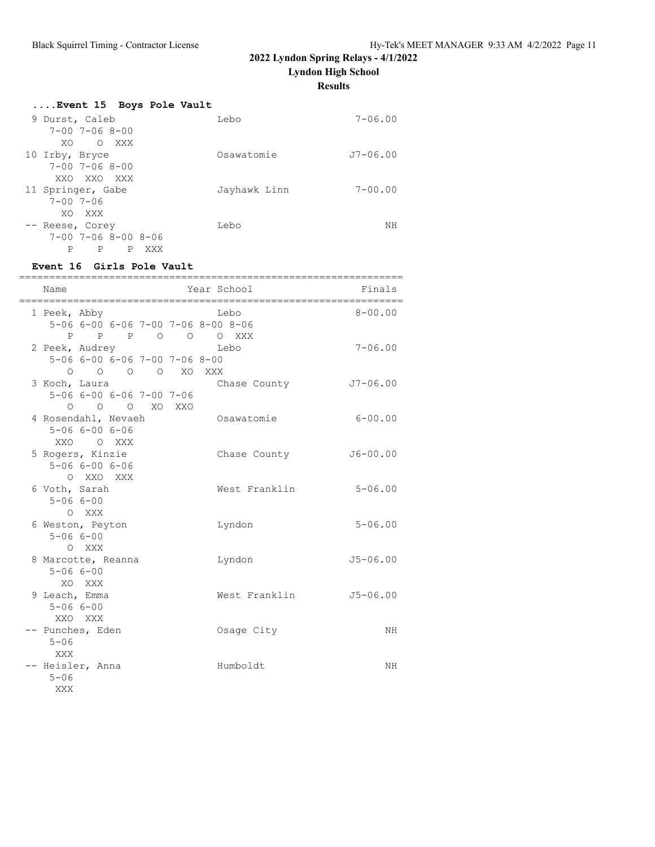**Lyndon High School**

**Results**

| Event 15 Boys Pole Vault            |              |              |
|-------------------------------------|--------------|--------------|
| 9 Durst, Caleb                      | Lebo         | $7 - 06.00$  |
| $7 - 00$ $7 - 06$ $8 - 00$          |              |              |
| O XXX<br>XO                         |              |              |
| 10 Irby, Bryce                      | Osawatomie   | $J7 - 06.00$ |
| $7 - 00$ $7 - 06$ $8 - 00$          |              |              |
| XXO XXO XXX                         |              |              |
| 11 Springer, Gabe                   | Jayhawk Linn | $7 - 00.00$  |
| $7 - 00$ 7-06                       |              |              |
| XO XXX                              |              |              |
| -- Reese, Corey                     | Lebo         | NΗ           |
| $7 - 00$ $7 - 06$ $8 - 00$ $8 - 06$ |              |              |
| P<br>P<br>P<br>XXX                  |              |              |

#### **Event 16 Girls Pole Vault**

| Name                      |                                  | ========= | Year School                        | Finals       |
|---------------------------|----------------------------------|-----------|------------------------------------|--------------|
| 1 Peek, Abby              |                                  |           | Lebo                               | $8 - 00.00$  |
|                           |                                  |           | 5-06 6-00 6-06 7-00 7-06 8-00 8-06 |              |
|                           |                                  |           | P P P O O O XXX<br>Lebo            | $7 - 06.00$  |
| 2 Peek, Audrey            | 5-06 6-00 6-06 7-00 7-06 8-00    |           |                                    |              |
|                           | 0 0 0 0 XOXXX                    |           |                                    |              |
| 3 Koch, Laura             |                                  |           | Chase County                       | $J7 - 06.00$ |
|                           | $5 - 066 - 006 - 067 - 007 - 06$ |           |                                    |              |
|                           | 0 0 0 XO XXO                     |           |                                    |              |
| 4 Rosendahl, Nevaeh       |                                  |           | Osawatomie                         | $6 - 00.00$  |
|                           | $5 - 066 - 006 - 06$             |           |                                    |              |
|                           | XXO O XXX                        |           |                                    |              |
| 5 Rogers, Kinzie          |                                  |           | Chase County                       | $J6 - 00.00$ |
|                           | $5 - 066 - 006 - 06$             |           |                                    |              |
|                           | O XXO XXX                        |           |                                    |              |
| 6 Voth, Sarah             |                                  |           | West Franklin                      | $5 - 06.00$  |
|                           | $5 - 066 - 00$                   |           |                                    |              |
|                           | O XXX                            |           |                                    |              |
| 6 Weston, Peyton          |                                  |           | Lyndon                             | $5 - 06.00$  |
|                           | $5 - 066 - 00$                   |           |                                    |              |
|                           | O XXX                            |           |                                    |              |
| 8 Marcotte, Reanna        |                                  |           | Lyndon                             | $J5 - 06.00$ |
| $5 - 066 - 00$            |                                  |           |                                    |              |
|                           | XO XXX                           |           |                                    |              |
| 9 Leach, Emma             |                                  |           | West Franklin                      | $J5 - 06.00$ |
| $5 - 066 - 00$<br>XXO XXX |                                  |           |                                    |              |
| -- Punches, Eden          |                                  |           |                                    | NH           |
| $5 - 06$                  |                                  |           | Osage City                         |              |
| XXX                       |                                  |           |                                    |              |
| -- Heisler, Anna          |                                  |           | Humboldt                           | NH           |
| $5 - 06$                  |                                  |           |                                    |              |
| XXX                       |                                  |           |                                    |              |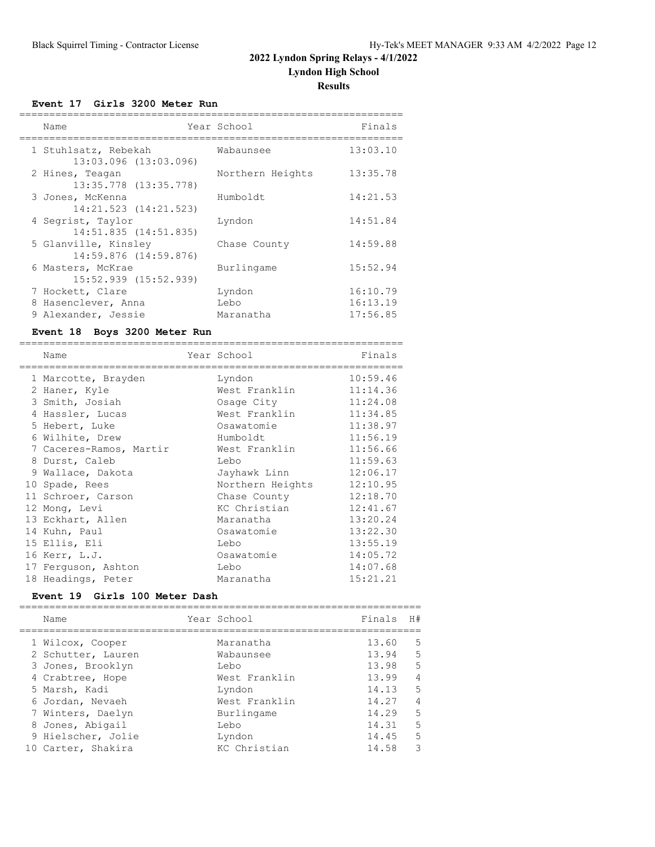#### **Event 17 Girls 3200 Meter Run**

| Name                                           | Year School      | Finals   |
|------------------------------------------------|------------------|----------|
| 1 Stuhlsatz, Rebekah<br>13:03.096 (13:03.096)  | Wabaunsee        | 13:03.10 |
| 2 Hines, Teagan<br>13:35.778 (13:35.778)       | Northern Heights | 13:35.78 |
| 3 Jones, McKenna<br>14:21.523 (14:21.523)      | Humboldt         | 14:21.53 |
| 4 Segrist, Taylor<br>$14:51.835$ $(14:51.835)$ | Lyndon           | 14:51.84 |
| 5 Glanville, Kinsley<br>14:59.876 (14:59.876)  | Chase County     | 14:59.88 |
| 6 Masters, McKrae<br>$15:52.939$ $(15:52.939)$ | Burlingame       | 15:52.94 |
| 7 Hockett, Clare                               | Lyndon           | 16:10.79 |
| 8 Hasenclever, Anna                            | Lebo             | 16:13.19 |
| 9 Alexander, Jessie                            | Maranatha        | 17:56.85 |

## **Event 18 Boys 3200 Meter Run**

| Name                    | Year School<br>============== | Finals   |
|-------------------------|-------------------------------|----------|
| 1 Marcotte, Brayden     | Lyndon                        | 10:59.46 |
| 2 Haner, Kyle           | West Franklin                 | 11:14.36 |
| 3 Smith, Josiah         | Osage City                    | 11:24.08 |
| 4 Hassler, Lucas        | West Franklin                 | 11:34.85 |
| 5 Hebert, Luke          | Osawatomie                    | 11:38.97 |
| 6 Wilhite, Drew         | Humboldt                      | 11:56.19 |
| 7 Caceres-Ramos, Martir | West Franklin                 | 11:56.66 |
| 8 Durst, Caleb          | Lebo                          | 11:59.63 |
| 9 Wallace, Dakota       | Jayhawk Linn                  | 12:06.17 |
| 10 Spade, Rees          | Northern Heights              | 12:10.95 |
| 11 Schroer, Carson      | Chase County                  | 12:18.70 |
| 12 Mong, Levi           | KC Christian                  | 12:41.67 |
| 13 Eckhart, Allen       | Maranatha                     | 13:20.24 |
| 14 Kuhn, Paul           | Osawatomie                    | 13:22.30 |
| 15 Ellis, Eli           | Lebo                          | 13:55.19 |
| 16 Kerr, L.J.           | Osawatomie                    | 14:05.72 |
| 17 Ferquson, Ashton     | Lebo                          | 14:07.68 |
| 18 Headings, Peter      | Maranatha                     | 15:21.21 |

#### **Event 19 Girls 100 Meter Dash**

| Name               | Year School   | Finals | H#             |
|--------------------|---------------|--------|----------------|
| 1 Wilcox, Cooper   | Maranatha     | 13.60  | .5             |
| 2 Schutter, Lauren | Wabaunsee     | 13.94  | .5             |
| 3 Jones, Brooklyn  | Lebo          | 13.98  | 5              |
| 4 Crabtree, Hope   | West Franklin | 13.99  | $\overline{4}$ |
| 5 Marsh, Kadi      | Lyndon        | 14.13  | .5             |
| 6 Jordan, Nevaeh   | West Franklin | 14.27  | $\overline{4}$ |
| 7 Winters, Daelyn  | Burlingame    | 14.29  | 5              |
| 8 Jones, Abigail   | Lebo          | 14.31  | .5             |
| 9 Hielscher, Jolie | Lyndon        | 14.45  | .5             |
| 10 Carter, Shakira | KC Christian  | 14.58  | 3              |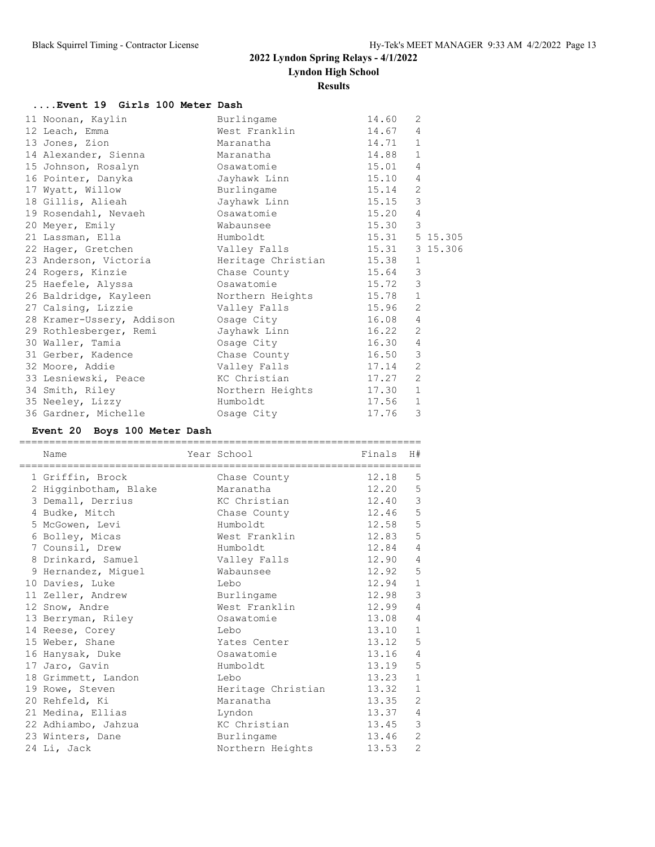#### **....Event 19 Girls 100 Meter Dash**

| 11 Noonan, Kaylin                                  | Burlingame                | 14.60   | 2                       |
|----------------------------------------------------|---------------------------|---------|-------------------------|
| 12 Leach, Emma                                     | West Franklin             | 14.67   | 4                       |
| 13 Jones, Zion                                     | Maranatha                 | 14.71   | 1                       |
| 14 Alexander, Sienna     Maranatha                 |                           | 14.88   | $\mathbf{1}$            |
| 15 Johnson, Rosalyn                                | Osawatomie                | 15.01   | $\overline{4}$          |
| 16 Pointer, Danyka     Jayhawk Linn                |                           | 15.10   | $\overline{4}$          |
| 17 Wyatt, Willow Burlingame                        |                           | 15.14   | 2                       |
| 18 Gillis, Alieah                                  | Jayhawk Linn              | 15.15   | $\overline{\mathbf{3}}$ |
| 19 Rosendahl, Nevaeh Cosawatomie                   |                           | 15.20   | 4                       |
| 20 Meyer, Emily                                    | Wabaunsee                 | 15.30 3 |                         |
| 21 Lassman, Ella                                   | Humboldt                  |         | 15.31 5 15.305          |
| 22 Hager, Gretchen Valley Falls 15.31 3 15.306     |                           |         |                         |
| 23 Anderson, Victoria and Heritage Christian 15.38 |                           |         | 1                       |
| 24 Rogers, Kinzie                                  | Chase County              | 15.64   | 3                       |
| 25 Haefele, Alyssa                                 | Osawatomie                | 15.72   | $\mathcal{E}$           |
| 26 Baldridge, Kayleen Morthern Heights             |                           | 15.78   | $\mathbf{1}$            |
| 27 Calsing, Lizzie                                 | Valley Falls              | 15.96   | 2                       |
| 28 Kramer-Ussery, Addison Osage City               |                           | 16.08   | $\overline{4}$          |
| 29 Rothlesberger, Remi          Jayhawk Linn       |                           | 16.22   | 2                       |
| 30 Waller, Tamia                                   | Osage City and the Casade | 16.30   | 4                       |
| 31 Gerber, Kadence Chase County                    |                           | 16.50   | 3                       |
| 32 Moore, Addie                                    | Valley Falls              | 17.14   | 2                       |
| 33 Lesniewski, Peace KC Christian                  |                           | 17.27   | 2                       |
| 34 Smith, Riley                                    | Northern Heights          | 17.30   | 1                       |
| 35 Neeley, Lizzy                                   | Humboldt                  | 17.56   | 1                       |
| 36 Gardner, Michelle                               | Osage City                | 17.76   | 3                       |

## **Event 20 Boys 100 Meter Dash**

| Name                  | Year School                   | Finals | H#             |
|-----------------------|-------------------------------|--------|----------------|
| --------------------  | _____________________________ |        |                |
| 1 Griffin, Brock      | Chase County                  | 12.18  | 5              |
| 2 Higginbotham, Blake | Maranatha                     | 12.20  | 5              |
| 3 Demall, Derrius     | KC Christian                  | 12.40  | 3              |
| 4 Budke, Mitch        | Chase County                  | 12.46  | 5              |
| 5 McGowen, Levi       | Humboldt                      | 12.58  | 5              |
| 6 Bolley, Micas       | West Franklin                 | 12.83  | 5              |
| 7 Counsil, Drew       | Humboldt                      | 12.84  | 4              |
| 8 Drinkard, Samuel    | Valley Falls                  | 12.90  | 4              |
| 9 Hernandez, Miquel   | Wabaunsee                     | 12.92  | 5              |
| 10 Davies, Luke       | Lebo                          | 12.94  | $\,1\,$        |
| 11 Zeller, Andrew     | Burlingame                    | 12.98  | 3              |
| 12 Snow, Andre        | West Franklin                 | 12.99  | $\overline{4}$ |
| 13 Berryman, Riley    | Osawatomie                    | 13.08  | $\overline{4}$ |
| 14 Reese, Corey       | Lebo                          | 13.10  | $\mathbf{1}$   |
| 15 Weber, Shane       | Yates Center                  | 13.12  | 5              |
| 16 Hanysak, Duke      | Osawatomie                    | 13.16  | $\overline{4}$ |
| 17 Jaro, Gavin        | Humboldt                      | 13.19  | 5              |
| 18 Grimmett, Landon   | Lebo                          | 13.23  | $\mathbf{1}$   |
| 19 Rowe, Steven       | Heritage Christian            | 13.32  | $\mathbf{1}$   |
| 20 Rehfeld, Ki        | Maranatha                     | 13.35  | 2              |
| 21 Medina, Ellias     | Lyndon                        | 13.37  | $\overline{4}$ |
| 22 Adhiambo, Jahzua   | KC Christian                  | 13.45  | 3              |
| 23 Winters, Dane      | Burlingame                    | 13.46  | $\overline{2}$ |
| 24 Li, Jack           | Northern Heights              | 13.53  | $\overline{2}$ |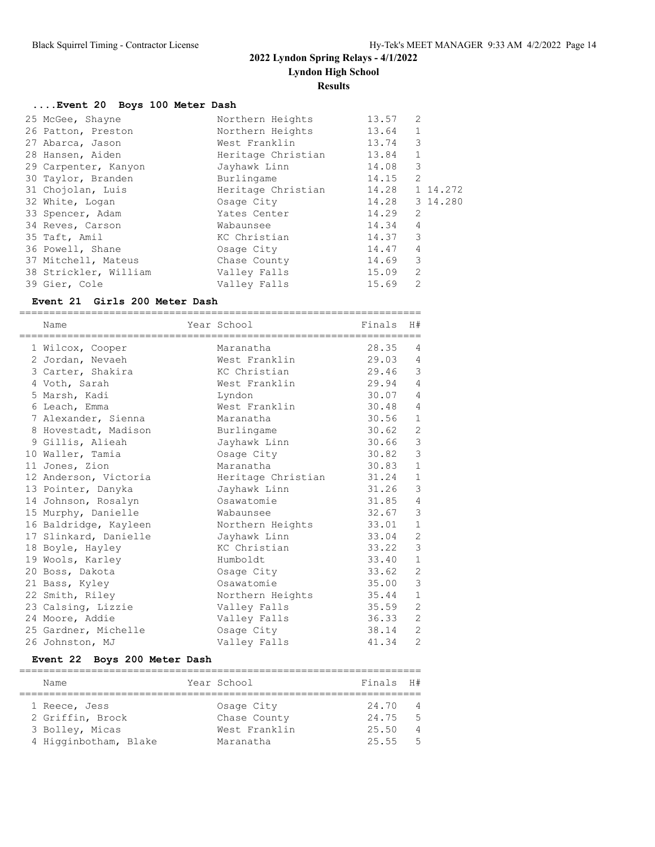## **....Event 20 Boys 100 Meter Dash**

| 25 McGee, Shayne      | Northern Heights   | 13.57 | 2              |
|-----------------------|--------------------|-------|----------------|
| 26 Patton, Preston    | Northern Heights   | 13.64 | $\mathbf{1}$   |
| 27 Abarca, Jason      | West Franklin      | 13.74 | 3              |
| 28 Hansen, Aiden      | Heritage Christian | 13.84 | $\mathbf{1}$   |
| 29 Carpenter, Kanyon  | Jayhawk Linn       | 14.08 | 3              |
| 30 Taylor, Branden    | Burlingame         | 14.15 | 2              |
| 31 Chojolan, Luis     | Heritage Christian | 14.28 | 1 14.272       |
| 32 White, Logan       | Osage City         | 14.28 | 3 14.280       |
| 33 Spencer, Adam      | Yates Center       | 14.29 | $\overline{2}$ |
| 34 Reves, Carson      | Wabaunsee          | 14.34 | $\overline{4}$ |
| 35 Taft, Amil         | KC Christian       | 14.37 | 3              |
| 36 Powell, Shane      | Osage City         | 14.47 | $\overline{4}$ |
| 37 Mitchell, Mateus   | Chase County       | 14.69 | 3              |
| 38 Strickler, William | Valley Falls       | 15.09 | $\overline{2}$ |
| 39 Gier, Cole         | Valley Falls       | 15.69 | $\overline{2}$ |

## **Event 21 Girls 200 Meter Dash**

| ====================<br>Name | ===================================<br>Year School | Finals | H#             |
|------------------------------|----------------------------------------------------|--------|----------------|
| 1 Wilcox, Cooper             | Maranatha                                          | 28.35  | 4              |
| 2 Jordan, Nevaeh             | West Franklin                                      | 29.03  | $\overline{4}$ |
| 3 Carter, Shakira            | KC Christian                                       | 29.46  | $\mathfrak{Z}$ |
| 4 Voth, Sarah                | West Franklin                                      | 29.94  | $\overline{4}$ |
| 5 Marsh, Kadi                | Lyndon                                             | 30.07  | $\overline{4}$ |
| 6 Leach, Emma                | West Franklin                                      | 30.48  | $\overline{4}$ |
| 7 Alexander, Sienna          | Maranatha                                          | 30.56  | $\mathbf{1}$   |
| 8 Hovestadt, Madison         | Burlingame                                         | 30.62  | 2              |
| 9 Gillis, Alieah             | Jayhawk Linn                                       | 30.66  | $\mathfrak{Z}$ |
| 10 Waller, Tamia             | Osage City                                         | 30.82  | $\mathfrak{Z}$ |
| 11 Jones, Zion               | Maranatha                                          | 30.83  | $1\,$          |
| 12 Anderson, Victoria        | Heritage Christian                                 | 31.24  | $\mathbf{1}$   |
| 13 Pointer, Danyka           | Jayhawk Linn                                       | 31.26  | $\mathcal{E}$  |
| 14 Johnson, Rosalyn          | Osawatomie                                         | 31.85  | $\overline{4}$ |
| 15 Murphy, Danielle          | Wabaunsee                                          | 32.67  | 3              |
| 16 Baldridge, Kayleen        | Northern Heights                                   | 33.01  | $\mathbf{1}$   |
| 17 Slinkard, Danielle        | Jayhawk Linn                                       | 33.04  | $\mathbf{2}$   |
| 18 Boyle, Hayley             | KC Christian                                       | 33.22  | $\mathsf 3$    |
| 19 Wools, Karley             | Humboldt                                           | 33.40  | $\mathbf{1}$   |
| 20 Boss, Dakota              | Osage City                                         | 33.62  | $\sqrt{2}$     |
| 21 Bass, Kyley               | Osawatomie                                         | 35.00  | $\mathfrak{Z}$ |
| 22 Smith, Riley              | Northern Heights                                   | 35.44  | $\mathbf{1}$   |
| 23 Calsing, Lizzie           | Valley Falls                                       | 35.59  | 2              |
| 24 Moore, Addie              | Valley Falls                                       | 36.33  | 2              |
| 25 Gardner, Michelle         | Osage City                                         | 38.14  | 2              |
| 26 Johnston, MJ              | Valley Falls                                       | 41.34  | $\overline{2}$ |

## **Event 22 Boys 200 Meter Dash**

| Name                  | Year School   | Finals H# |                |
|-----------------------|---------------|-----------|----------------|
|                       |               |           |                |
| 1 Reece, Jess         | Osage City    | 24.70     | $\overline{4}$ |
| 2 Griffin, Brock      | Chase County  | 24.75     | - 5            |
| 3 Bolley, Micas       | West Franklin | 25.50     | $\overline{4}$ |
| 4 Higginbotham, Blake | Maranatha     | 25.55     | - 5            |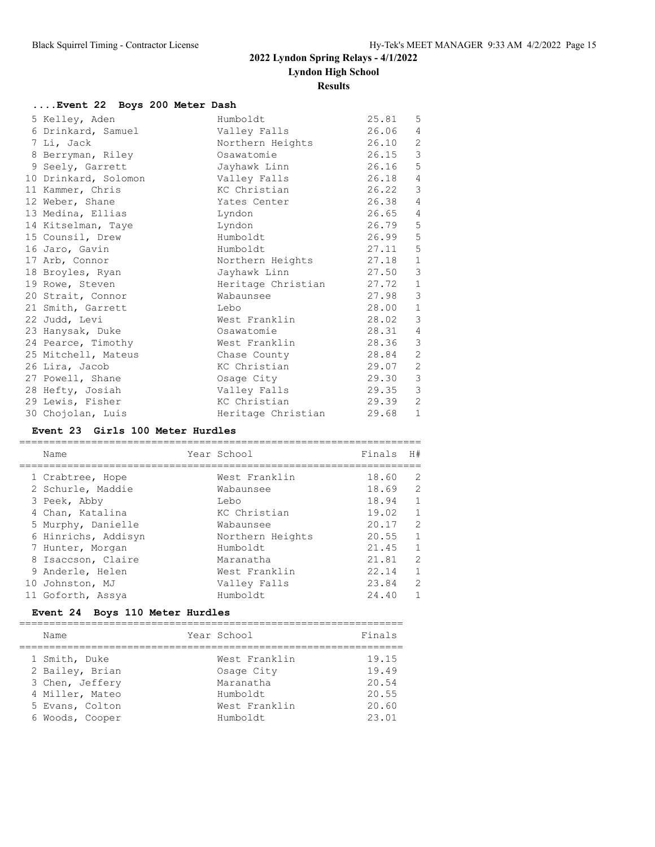#### **....Event 22 Boys 200 Meter Dash** 5 Kelley, Aden Humboldt 25.81 5 6 Drinkard, Samuel Valley Falls 26.06 4 7 Li, Jack Northern Heights 26.10 2 8 Berryman, Riley Osawatomie 26.15 3 9 Seely, Garrett Jayhawk Linn 26.16 5 10 Drinkard, Solomon Valley Falls 26.18 4 11 Kammer, Chris KC Christian 26.22 3 12 Weber, Shane Yates Center 26.38 4 13 Medina, Ellias Lyndon 26.65 4 14 Kitselman, Taye Lyndon 26.79 5 15 Counsil, Drew Humboldt 26.99 5 16 Jaro, Gavin Humboldt 27.11 5 17 Arb, Connor Northern Heights 27.18 1 18 Broyles, Ryan Jayhawk Linn 27.50 3 19 Rowe, Steven The Heritage Christian 27.72 1 20 Strait, Connor Wabaunsee 27.98 3 21 Smith, Garrett Lebo 28.00 1 22 Judd, Levi West Franklin 28.02 3 23 Hanysak, Duke Osawatomie 28.31 4 24 Pearce, Timothy **West Franklin** 28.36 3 25 Mitchell, Mateus Chase County 28.84 2 26 Lira, Jacob KC Christian 29.07 2 27 Powell, Shane Casse City 29.30 3 28 Hefty, Josiah Valley Falls 29.35 3 29 Lewis, Fisher KC Christian 29.39 2 30 Chojolan, Luis **Heritage Christian** 29.68 1

#### **Event 23 Girls 100 Meter Hurdles**

| Name                | Year School      | Finals | H#            |
|---------------------|------------------|--------|---------------|
| 1 Crabtree, Hope    | West Franklin    | 18.60  | 2             |
| 2 Schurle, Maddie   | Wabaunsee        | 18.69  | $\mathcal{L}$ |
| 3 Peek, Abby        | Lebo             | 18.94  | $\mathbf{1}$  |
| 4 Chan, Katalina    | KC Christian     | 19.02  | $\mathbf{1}$  |
| 5 Murphy, Danielle  | Wabaunsee        | 20.17  | 2             |
| 6 Hinrichs, Addisyn | Northern Heights | 20.55  | $\mathbf{1}$  |
| 7 Hunter, Morgan    | Humboldt         | 21.45  | $\mathbf{1}$  |
| 8 Isaccson, Claire  | Maranatha        | 21.81  | 2             |
| 9 Anderle, Helen    | West Franklin    | 22.14  | $\mathbf{1}$  |
| 10 Johnston, MJ     | Valley Falls     | 23.84  | $\mathcal{L}$ |
| 11 Goforth, Assya   | Humboldt         | 24.40  |               |

#### **Event 24 Boys 110 Meter Hurdles**

| Name                                                                                                         | Year School                                                                       | Finals                                             |
|--------------------------------------------------------------------------------------------------------------|-----------------------------------------------------------------------------------|----------------------------------------------------|
| 1 Smith, Duke<br>2 Bailey, Brian<br>3 Chen, Jeffery<br>4 Miller, Mateo<br>5 Evans, Colton<br>6 Woods, Cooper | West Franklin<br>Osage City<br>Maranatha<br>Humboldt<br>West Franklin<br>Humboldt | 19.15<br>19.49<br>20.54<br>20.55<br>20.60<br>23.01 |
|                                                                                                              |                                                                                   |                                                    |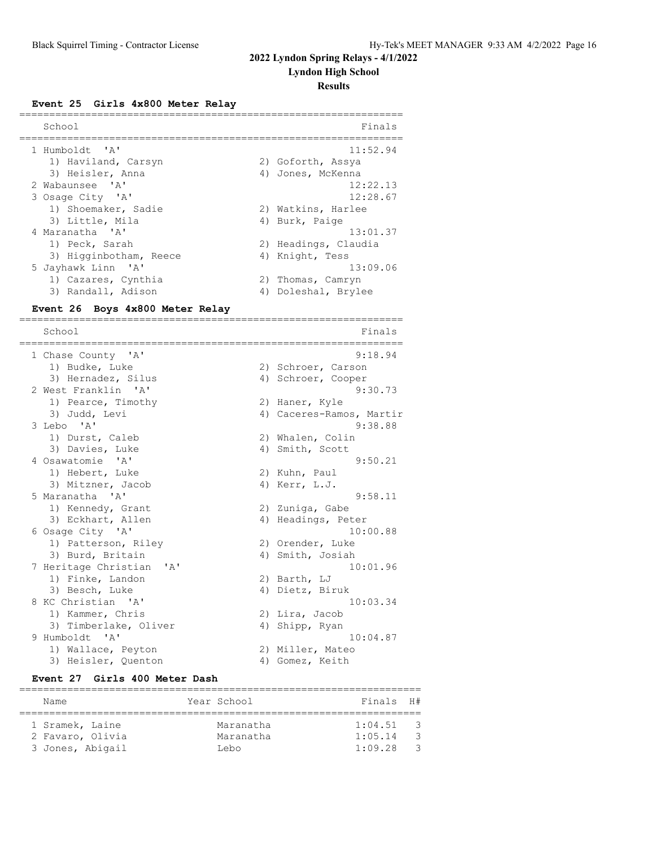## **Results**

**Event 25 Girls 4x800 Meter Relay**

| School                 | Finals               |
|------------------------|----------------------|
|                        |                      |
| 1 Humboldt. 'A'        | 11:52.94             |
| 1) Haviland, Carsyn    | 2) Goforth, Assya    |
| 3) Heisler, Anna       | 4) Jones, McKenna    |
| 2 Wabaunsee 'A'        | 12:22.13             |
| 3 Osage City 'A'       | 12:28.67             |
| 1) Shoemaker, Sadie    | 2) Watkins, Harlee   |
| 3) Little, Mila        | 4) Burk, Paige       |
| 4 Maranatha 'A'        | 13:01.37             |
| 1) Peck, Sarah         | 2) Headings, Claudia |
| 3) Higginbotham, Reece | 4) Knight, Tess      |
| 5 Jayhawk Linn 'A'     | 13:09.06             |
| 1) Cazares, Cynthia    | 2) Thomas, Camryn    |
| 3) Randall, Adison     | 4) Doleshal, Brylee  |

#### **Event 26 Boys 4x800 Meter Relay**

================================================================

| School                                    |    | Finals                   |
|-------------------------------------------|----|--------------------------|
| 1 Chase County 'A'                        |    | 9:18.94                  |
| 1) Budke, Luke                            |    | 2) Schroer, Carson       |
| 3) Hernadez, Silus                        |    | 4) Schroer, Cooper       |
| 2 West Franklin 'A'                       |    | 9:30.73                  |
| 1) Pearce, Timothy                        |    | 2) Haner, Kyle           |
| 3) Judd, Levi                             |    | 4) Caceres-Ramos, Martir |
| 3 Lebo 'A'                                |    | 9:38.88                  |
| 1) Durst, Caleb                           |    | 2) Whalen, Colin         |
| 3) Davies, Luke                           |    | 4) Smith, Scott          |
| 4 Osawatomie<br>$^{\prime}$ A $^{\prime}$ |    | 9:50.21                  |
| 1) Hebert, Luke                           |    | 2) Kuhn, Paul            |
| 3) Mitzner, Jacob                         |    | 4) Kerr, L.J.            |
| 5 Maranatha 'A'                           |    | 9:58.11                  |
| 1) Kennedy, Grant                         |    | 2) Zuniga, Gabe          |
| 3) Eckhart, Allen                         |    | 4) Headings, Peter       |
| 6 Osage City 'A'                          |    | 10:00.88                 |
| 1) Patterson, Riley                       |    | 2) Orender, Luke         |
| 3) Burd, Britain                          |    | 4) Smith, Josiah         |
| 7 Heritage Christian 'A'                  |    | 10:01.96                 |
| 1) Finke, Landon                          |    | 2) Barth, LJ             |
| 3) Besch, Luke                            |    | 4) Dietz, Biruk          |
| 8 KC Christian 'A'                        |    | 10:03.34                 |
| 1) Kammer, Chris                          |    | 2) Lira, Jacob           |
| 3) Timberlake, Oliver                     | 4) | Shipp, Ryan              |
| 9 Humboldt 'A'                            |    | 10:04.87                 |
| 1) Wallace, Peyton                        |    | 2) Miller, Mateo         |
| 3) Heisler, Quenton                       |    | 4) Gomez, Keith          |

#### **Event 27 Girls 400 Meter Dash**

| Name             |  | Year School | Finals H# |               |  |  |  |
|------------------|--|-------------|-----------|---------------|--|--|--|
|                  |  |             |           |               |  |  |  |
| 1 Sramek, Laine  |  | Maranatha   | 1:04.51   | $\mathcal{B}$ |  |  |  |
| 2 Favaro, Olivia |  | Maranatha   | 1:05.14   | -3            |  |  |  |
| 3 Jones, Abigail |  | Lebo        | 1:09.28   | -3            |  |  |  |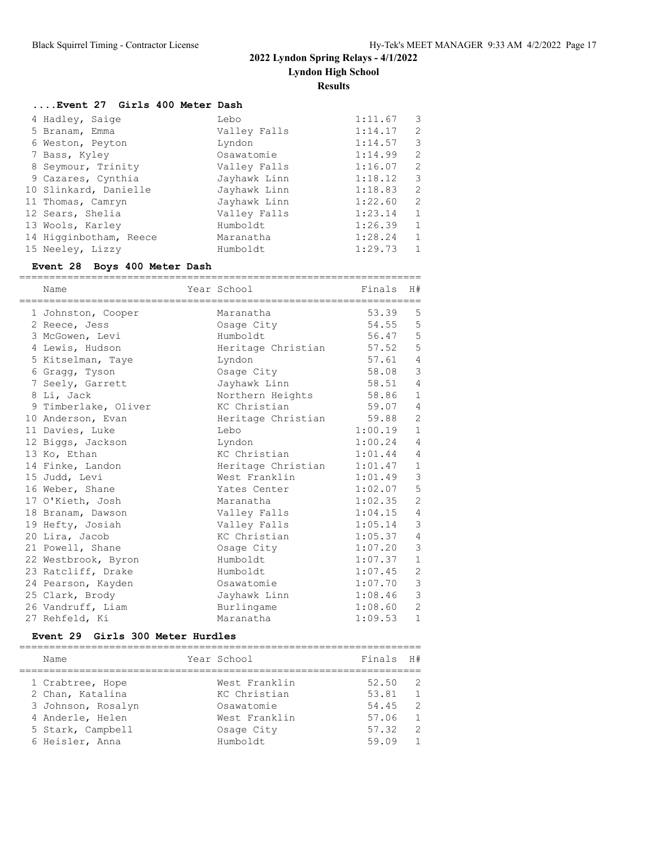## **....Event 27 Girls 400 Meter Dash**

| 4 Hadley, Saige        | Lebo         | 1:11.67 | 3            |
|------------------------|--------------|---------|--------------|
| 5 Branam, Emma         | Valley Falls | 1:14.17 | 2            |
| 6 Weston, Peyton       | Lyndon       | 1:14.57 | 3            |
| 7 Bass, Kyley          | Osawatomie   | 1:14.99 | 2            |
| 8 Seymour, Trinity     | Valley Falls | 1:16.07 | 2            |
| 9 Cazares, Cynthia     | Jayhawk Linn | 1:18.12 | 3            |
| 10 Slinkard, Danielle  | Jayhawk Linn | 1:18.83 | 2            |
| 11 Thomas, Camryn      | Jayhawk Linn | 1:22.60 | 2            |
| 12 Sears, Shelia       | Valley Falls | 1:23.14 | 1            |
| 13 Wools, Karley       | Humboldt     | 1:26.39 | 1            |
| 14 Higginbotham, Reece | Maranatha    | 1:28.24 | $\mathbf{1}$ |
| 15 Neeley, Lizzy       | Humboldt     | 1:29.73 | 1            |

## **Event 28 Boys 400 Meter Dash**

| Name                 | Year School              | Finals  | H#             |
|----------------------|--------------------------|---------|----------------|
| 1 Johnston, Cooper   | Maranatha                | 53.39   | 5              |
| 2 Reece, Jess        | Osage City               | 54.55   | 5              |
| 3 McGowen, Levi      | Humboldt                 | 56.47 5 |                |
| 4 Lewis, Hudson      | Heritage Christian       | 57.52 5 |                |
| 5 Kitselman, Taye    | Lyndon                   | 57.61   | $\overline{4}$ |
| 6 Gragg, Tyson       | Osage City               | 58.08   | 3              |
| 7 Seely, Garrett     | Jayhawk Linn             | 58.51   | $\overline{4}$ |
| 8 Li, Jack           | Northern Heights         | 58.86   | $\mathbf{1}$   |
| 9 Timberlake, Oliver | KC Christian             | 59.07   | 4              |
| 10 Anderson, Evan    | Heritage Christian 59.88 |         | 2              |
| 11 Davies, Luke      | Lebo                     | 1:00.19 | $\mathbf{1}$   |
| 12 Biggs, Jackson    | Lyndon                   | 1:00.24 | $\overline{4}$ |
| 13 Ko, Ethan         | KC Christian             | 1:01.44 | $\overline{4}$ |
| 14 Finke, Landon     | Heritage Christian       | 1:01.47 | $\mathbf{1}$   |
| 15 Judd, Levi        | West Franklin            | 1:01.49 | $\mathcal{S}$  |
| 16 Weber, Shane      | Yates Center             | 1:02.07 | 5              |
| 17 O'Kieth, Josh     | Maranatha                | 1:02.35 | $\overline{2}$ |
| 18 Branam, Dawson    | Valley Falls             | 1:04.15 | $\overline{4}$ |
| 19 Hefty, Josiah     | Valley Falls             | 1:05.14 | 3              |
| 20 Lira, Jacob       | KC Christian             | 1:05.37 | $\overline{4}$ |
| 21 Powell, Shane     | Osage City               | 1:07.20 | 3              |
| 22 Westbrook, Byron  | Humboldt                 | 1:07.37 | $\mathbf{1}$   |
| 23 Ratcliff, Drake   | Humboldt                 | 1:07.45 | $\sqrt{2}$     |
| 24 Pearson, Kayden   | Osawatomie               | 1:07.70 | $\mathfrak{Z}$ |
| 25 Clark, Brody      | Jayhawk Linn             | 1:08.46 | $\mathbf{3}$   |
| 26 Vandruff, Liam    | Burlingame               | 1:08.60 | $\overline{c}$ |
| 27 Rehfeld, Ki       | Maranatha                | 1:09.53 | $\mathbf{1}$   |

#### **Event 29 Girls 300 Meter Hurdles**

| Name               | Year School   | Finals H# |                |
|--------------------|---------------|-----------|----------------|
| 1 Crabtree, Hope   | West Franklin | 52.50     | -2             |
| 2 Chan, Katalina   | KC Christian  | 53.81     | $\overline{1}$ |
| 3 Johnson, Rosalyn | Osawatomie    | 54.45     | $\overline{2}$ |
| 4 Anderle, Helen   | West Franklin | 57.06     | $\overline{1}$ |
| 5 Stark, Campbell  | Osage City    | 57.32     | 2              |
| 6 Heisler, Anna    | Humboldt      | 59.09     | $\overline{1}$ |
|                    |               |           |                |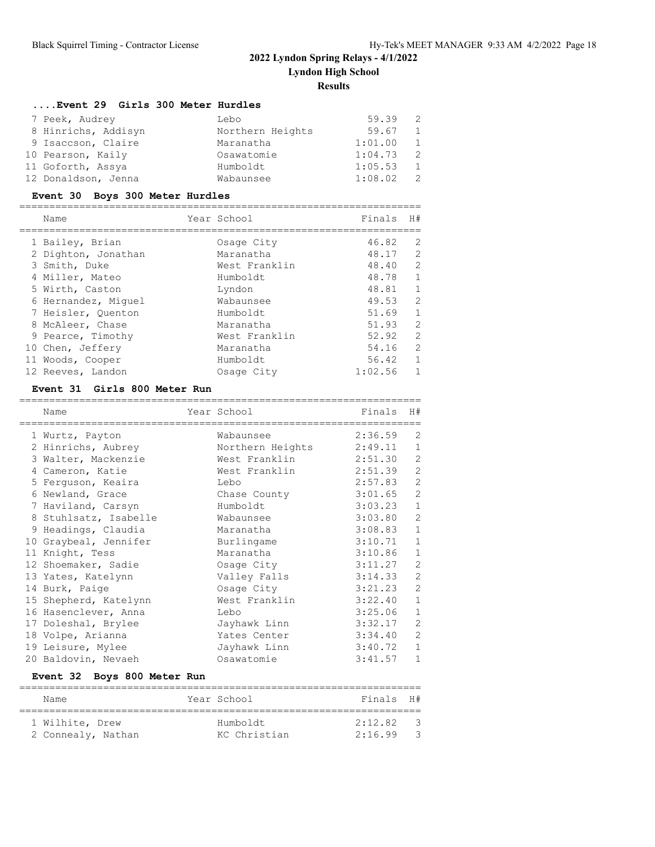#### **....Event 29 Girls 300 Meter Hurdles**

| 7 Peek, Audrey      | Lebo             | 59.39   | -2.            |
|---------------------|------------------|---------|----------------|
| 8 Hinrichs, Addisyn | Northern Heights | 59.67   | 1              |
| 9 Isaccson, Claire  | Maranatha        | 1:01.00 | $\overline{1}$ |
| 10 Pearson, Kaily   | Osawatomie       | 1:04.73 | - 2            |
| 11 Goforth, Assya   | Humboldt         | 1:05.53 | 1              |
| 12 Donaldson, Jenna | Wabaunsee        | 1:08.02 |                |

#### **Event 30 Boys 300 Meter Hurdles**

| Name                | Year School   | Finals  | H#             |
|---------------------|---------------|---------|----------------|
|                     |               |         |                |
| 1 Bailey, Brian     | Osage City    | 46.82   | 2              |
| 2 Dighton, Jonathan | Maranatha     | 48.17   | $\overline{2}$ |
| 3 Smith, Duke       | West Franklin | 48.40   | 2              |
| 4 Miller, Mateo     | Humboldt      | 48.78   | $\mathbf{1}$   |
| 5 Wirth, Caston     | Lyndon        | 48.81   | $\mathbf{1}$   |
| 6 Hernandez, Miquel | Wabaunsee     | 49.53   | 2              |
| 7 Heisler, Quenton  | Humboldt      | 51.69   | $\mathbf{1}$   |
| 8 McAleer, Chase    | Maranatha     | 51.93   | 2              |
| 9 Pearce, Timothy   | West Franklin | 52.92   | 2              |
| 10 Chen, Jeffery    | Maranatha     | 54.16   | 2              |
| 11 Woods, Cooper    | Humboldt      | 56.42   | $\mathbf{1}$   |
| 12 Reeves, Landon   | Osage City    | 1:02.56 | $\mathbf{1}$   |
|                     |               |         |                |

#### **Event 31 Girls 800 Meter Run**

| Name                  | Year School      | Finals  | H#             |
|-----------------------|------------------|---------|----------------|
| 1 Wurtz, Payton       | Wabaunsee        | 2:36.59 | 2              |
| 2 Hinrichs, Aubrey    | Northern Heights | 2:49.11 | $\mathbf{1}$   |
| 3 Walter, Mackenzie   | West Franklin    | 2:51.30 | $\overline{2}$ |
| 4 Cameron, Katie      | West Franklin    | 2:51.39 | $\overline{c}$ |
| 5 Ferguson, Keaira    | Lebo             | 2:57.83 | $\mathbf{2}$   |
| 6 Newland, Grace      | Chase County     | 3:01.65 | $\overline{2}$ |
| 7 Haviland, Carsyn    | Humboldt         | 3:03.23 | $\mathbf{1}$   |
| 8 Stuhlsatz, Isabelle | Wabaunsee        | 3:03.80 | $\overline{2}$ |
| 9 Headings, Claudia   | Maranatha        | 3:08.83 | $\mathbf{1}$   |
| 10 Graybeal, Jennifer | Burlingame       | 3:10.71 | $\mathbf{1}$   |
| 11 Knight, Tess       | Maranatha        | 3:10.86 | $\mathbf{1}$   |
| 12 Shoemaker, Sadie   | Osage City       | 3:11.27 | $\overline{2}$ |
| 13 Yates, Katelynn    | Valley Falls     | 3:14.33 | $\overline{2}$ |
| 14 Burk, Paige        | Osage City       | 3:21.23 | $\overline{2}$ |
| 15 Shepherd, Katelynn | West Franklin    | 3:22.40 | $\mathbf{1}$   |
| 16 Hasenclever, Anna  | Lebo             | 3:25.06 | $\mathbf{1}$   |
| 17 Doleshal, Brylee   | Jayhawk Linn     | 3:32.17 | $\overline{2}$ |
| 18 Volpe, Arianna     | Yates Center     | 3:34.40 | $\overline{2}$ |
| 19 Leisure, Mylee     | Jayhawk Linn     | 3:40.72 | $\mathbf{1}$   |
| 20 Baldovin, Nevaeh   | Osawatomie       | 3:41.57 | $\mathbf{1}$   |

#### **Event 32 Boys 800 Meter Run**

| Name               | Year School  | Finals H# |     |
|--------------------|--------------|-----------|-----|
| 1 Wilhite, Drew    | Humboldt.    | 2:12.82   | - 3 |
| 2 Connealy, Nathan | KC Christian | 2:16.99   | - 3 |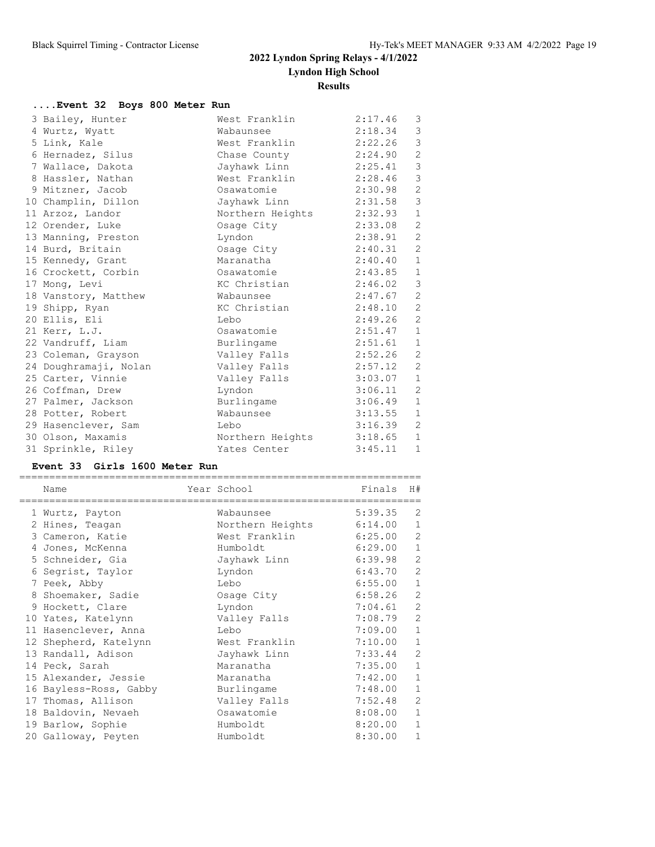#### **....Event 32 Boys 800 Meter Run** 3 Bailey, Hunter West Franklin 2:17.46 3 4 Wurtz, Wyatt Wabaunsee 2:18.34 3 5 Link, Kale Nest Franklin 2:22.26 3 6 Hernadez, Silus Chase County 2:24.90 2 7 Wallace, Dakota Jayhawk Linn 2:25.41 3 8 Hassler, Nathan Mest Franklin 2:28.46 3 9 Mitzner, Jacob Osawatomie 2:30.98 2 10 Champlin, Dillon Jayhawk Linn 2:31.58 3 11 Arzoz, Landor Northern Heights 2:32.93 1 12 Orender, Luke Osage City 2:33.08 2 13 Manning, Preston Lyndon 2:38.91 2 14 Burd, Britain Osage City 2:40.31 2 15 Kennedy, Grant Maranatha 2:40.40 1 16 Crockett, Corbin Osawatomie 2:43.85 1 17 Mong, Levi **KC Christian** 2:46.02 3 18 Vanstory, Matthew Wabaunsee 2:47.67 2 19 Shipp, Ryan KC Christian 2:48.10 2 20 Ellis, Eli Lebo 2:49.26 2 21 Kerr, L.J. Osawatomie 2:51.47 1 22 Vandruff, Liam Burlingame 2:51.61 1 23 Coleman, Grayson Valley Falls 2:52.26 2 24 Doughramaji, Nolan Valley Falls 2:57.12 2 25 Carter, Vinnie Valley Falls 3:03.07 1 26 Coffman, Drew Lyndon 3:06.11 2 27 Palmer, Jackson Burlingame 3:06.49 1 28 Potter, Robert Wabaunsee 3:13.55 1 29 Hasenclever, Sam Lebo 3:16.39 2 30 Olson, Maxamis Northern Heights 3:18.65 1 31 Sprinkle, Riley Yates Center 3:45.11 1

#### **Event 33 Girls 1600 Meter Run**

| Name                   | Year School      | Finals  | H#             |
|------------------------|------------------|---------|----------------|
| 1 Wurtz, Payton        | Wabaunsee        | 5:39.35 | 2              |
| 2 Hines, Teagan        | Northern Heights | 6:14.00 | $\mathbf{1}$   |
| 3 Cameron, Katie       | West Franklin    | 6:25.00 | $\overline{2}$ |
| 4 Jones, McKenna       | Humboldt         | 6:29.00 | $\mathbf{1}$   |
| 5 Schneider, Gia       | Jayhawk Linn     | 6:39.98 | $\overline{2}$ |
| 6 Segrist, Taylor      | Lyndon           | 6:43.70 | $\overline{2}$ |
| 7 Peek, Abby           | Lebo             | 6:55.00 | $\mathbf{1}$   |
| 8 Shoemaker, Sadie     | Osage City       | 6:58.26 | 2              |
| 9 Hockett, Clare       | Lyndon           | 7:04.61 | $\overline{2}$ |
| 10 Yates, Katelynn     | Valley Falls     | 7:08.79 | $\overline{2}$ |
| 11 Hasenclever, Anna   | Lebo             | 7:09.00 | $\mathbf{1}$   |
| 12 Shepherd, Katelynn  | West Franklin    | 7:10.00 | $\mathbf{1}$   |
| 13 Randall, Adison     | Jayhawk Linn     | 7:33.44 | $\overline{2}$ |
| 14 Peck, Sarah         | Maranatha        | 7:35.00 | $\mathbf{1}$   |
| 15 Alexander, Jessie   | Maranatha        | 7:42.00 | $\mathbf{1}$   |
| 16 Bayless-Ross, Gabby | Burlingame       | 7:48.00 | $\mathbf{1}$   |
| 17 Thomas, Allison     | Valley Falls     | 7:52.48 | $\overline{2}$ |
| 18 Baldovin, Nevaeh    | Osawatomie       | 8:08.00 | $\mathbf{1}$   |
| 19 Barlow, Sophie      | Humboldt         | 8:20.00 | $\mathbf{1}$   |
| 20 Galloway, Peyten    | Humboldt         | 8:30.00 | $\mathbf{1}$   |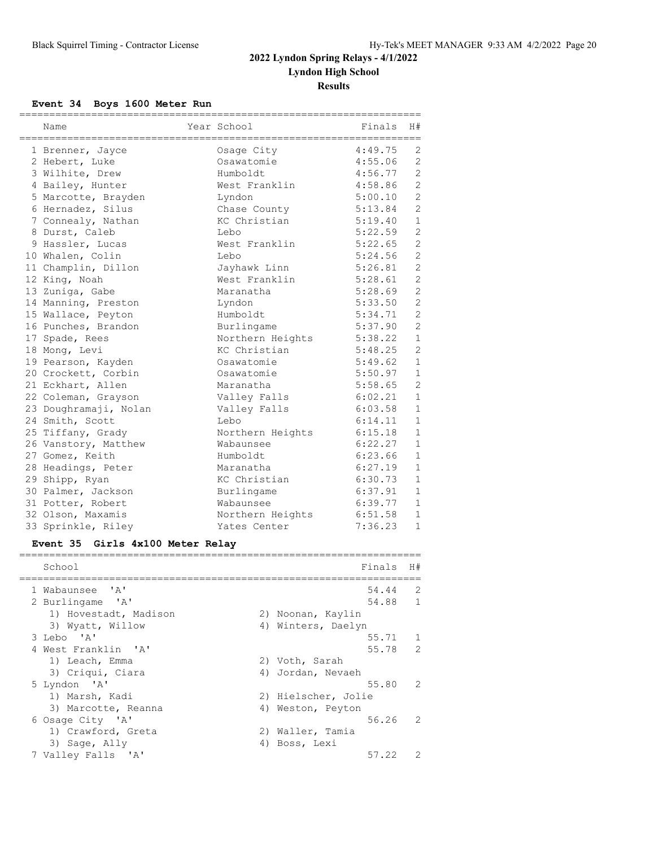#### **Event 34 Boys 1600 Meter Run**

| Name                             | Year School         | Finals  | H#             |
|----------------------------------|---------------------|---------|----------------|
|                                  |                     |         | ======         |
| 1 Brenner, Jayce                 | Osage City          | 4:49.75 | 2              |
| 2 Hebert, Luke                   | Osawatomie          | 4:55.06 | 2              |
| 3 Wilhite, Drew                  | Humboldt            | 4:56.77 | 2              |
| 4 Bailey, Hunter                 | West Franklin       | 4:58.86 | $\overline{2}$ |
| 5 Marcotte, Brayden              | Lyndon              | 5:00.10 | $\overline{c}$ |
| 6 Hernadez, Silus                | Chase County        | 5:13.84 | $\mathbf{2}$   |
| 7 Connealy, Nathan               | KC Christian        | 5:19.40 | $\mathbf{1}$   |
| 8 Durst, Caleb                   | Lebo                | 5:22.59 | 2              |
| 9 Hassler, Lucas                 | West Franklin       | 5:22.65 | 2              |
| 10 Whalen, Colin                 | Lebo                | 5:24.56 | $\overline{2}$ |
| 11 Champlin, Dillon              | Jayhawk Linn        | 5:26.81 | $\overline{2}$ |
| 12 King, Noah                    | West Franklin       | 5:28.61 | $\overline{c}$ |
| 13 Zuniga, Gabe                  | Maranatha           | 5:28.69 | $\overline{c}$ |
| 14 Manning, Preston              | Lyndon              | 5:33.50 | 2              |
| 15 Wallace, Peyton               | Humboldt            | 5:34.71 | 2              |
| 16 Punches, Brandon              | Burlingame          | 5:37.90 | $\overline{2}$ |
| 17 Spade, Rees                   | Northern Heights    | 5:38.22 | $\mathbf{1}$   |
| 18 Mong, Levi                    | KC Christian        | 5:48.25 | $\overline{c}$ |
| 19 Pearson, Kayden               | Osawatomie          | 5:49.62 | $\mathbf{1}$   |
| 20 Crockett, Corbin              | Osawatomie          | 5:50.97 | $\mathbf{1}$   |
| 21 Eckhart, Allen                | Maranatha           | 5:58.65 | $\overline{2}$ |
| 22 Coleman, Grayson              | Valley Falls        | 6:02.21 | $\mathbf{1}$   |
| 23 Doughramaji, Nolan            | Valley Falls        | 6:03.58 | $\mathbf{1}$   |
| 24 Smith, Scott                  | Lebo                | 6:14.11 | $\mathbf{1}$   |
| 25 Tiffany, Grady                | Northern Heights    | 6:15.18 | $\mathbf{1}$   |
| 26 Vanstory, Matthew             | Wabaunsee           | 6:22.27 | $\mathbf{1}$   |
| 27 Gomez, Keith                  | Humboldt            | 6:23.66 | $\mathbf{1}$   |
| 28 Headings, Peter               | Maranatha           | 6:27.19 | $\mathbf{1}$   |
| 29 Shipp, Ryan                   | KC Christian        | 6:30.73 | $\mathbf{1}$   |
| 30 Palmer, Jackson               | Burlingame          | 6:37.91 | $\mathbf{1}$   |
| 31 Potter, Robert                | Wabaunsee           | 6:39.77 | $\mathbf{1}$   |
| 32 Olson, Maxamis                | Northern Heights    | 6:51.58 | $\mathbf{1}$   |
| 33 Sprinkle, Riley               | Yates Center        | 7:36.23 | $\mathbf{1}$   |
| Event 35 Girls 4x100 Meter Relay |                     |         |                |
|                                  |                     |         |                |
| School<br>---------------------- |                     | Finals  | H#             |
| ' A'<br>1 Wabaunsee              |                     | 54.44   | 2              |
| 2 Burlingame 'A'                 |                     | 54.88 1 |                |
| 1) Hovestadt, Madison            | 2) Noonan, Kaylin   |         |                |
| 3) Wyatt, Willow                 | 4) Winters, Daelyn  |         |                |
| 3 Lebo 'A'                       |                     | 55.71   | $\mathbf{1}$   |
| 4 West Franklin 'A'              |                     | 55.78   | 2              |
| 1) Leach, Emma                   | 2) Voth, Sarah      |         |                |
| 3) Criqui, Ciara                 | 4) Jordan, Nevaeh   |         |                |
| 5 Lyndon 'A'                     |                     | 55.80   | 2              |
| 1) Marsh, Kadi                   | 2) Hielscher, Jolie |         |                |
| 3) Marcotte, Reanna              | 4) Weston, Peyton   |         |                |
| 6 Osage City 'A'                 |                     | 56.26   | 2              |
| 1) Crawford, Greta               | 2) Waller, Tamia    |         |                |
| 3) Sage, Ally                    | 4) Boss, Lexi       |         |                |
| 7 Valley Falls 'A'               |                     | 57.22   | 2              |
|                                  |                     |         |                |

===================================================================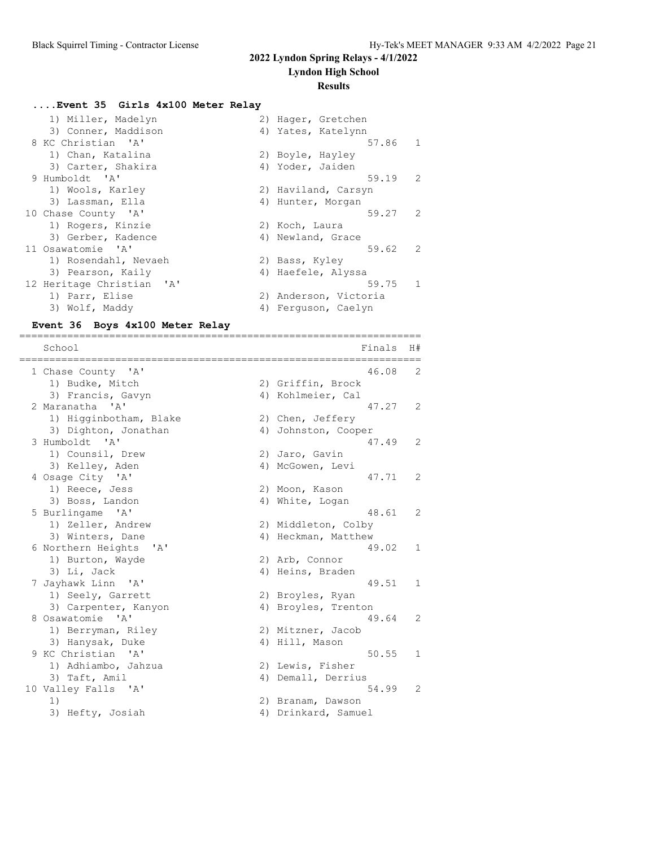# **Lyndon High School**

#### **Results**

#### **....Event 35 Girls 4x100 Meter Relay**

| 1) Miller, Madelyn        | 2) Hager, Gretchen      |
|---------------------------|-------------------------|
| 3) Conner, Maddison       | 4) Yates, Katelynn      |
| 8 KC Christian 'A'        | 57.86 1                 |
| 1) Chan, Katalina         | 2) Boyle, Hayley        |
| 3) Carter, Shakira        | 4) Yoder, Jaiden        |
| 9 Humboldt 'A'            | 59.19<br>2              |
| 1) Wools, Karley          | 2) Haviland, Carsyn     |
| 3) Lassman, Ella          | 4) Hunter, Morgan       |
| 10 Chase County 'A'       | 59.27<br>$\overline{2}$ |
| 1) Rogers, Kinzie         | 2) Koch, Laura          |
| 3) Gerber, Kadence        | 4) Newland, Grace       |
| 11 Osawatomie 'A'         | 59.62<br>- 2            |
| 1) Rosendahl, Nevaeh      | 2) Bass, Kyley          |
| 3) Pearson, Kaily         | 4) Haefele, Alyssa      |
| 12 Heritage Christian 'A' | 59.75 1                 |
| 1) Parr, Elise            | 2) Anderson, Victoria   |
| 3) Wolf, Maddy            | 4) Ferquson, Caelyn     |

===================================================================

#### **Event 36 Boys 4x100 Meter Relay**

School Finals H# =================================================================== 1 Chase County 'A' 31 22 22 23 246.08 25 1) Budke, Mitch 2) Griffin, Brock 3) Francis, Gavyn (4) Kohlmeier, Cal 2 Maranatha 'A' 47.27 2 1) Higginbotham, Blake 2) Chen, Jeffery 3) Dighton, Jonathan (4) Johnston, Cooper 3 Humboldt 'A' 47.49 2 1) Counsil, Drew 2) Jaro, Gavin 3) Kelley, Aden 1988 (4) McGowen, Levi 4 Osage City 'A' 47.71 2 1) Reece, Jess 2) Moon, Kason 3) Boss, Landon 4) White, Logan 5 Burlingame 'A' 48.61 2 1) Zeller, Andrew 2) Middleton, Colby 3) Winters, Dane 19, 1992 Meckman, Matthew 6 Northern Heights 'A' 49.02 1 1) Burton, Wayde 2) Arb, Connor 3) Li, Jack (4) Heins, Braden 7 Jayhawk Linn 'A' 49.51 1 1) Seely, Garrett 2) Broyles, Ryan 3) Carpenter, Kanyon (4) Broyles, Trenton 8 Osawatomie 'A' 49.64 2 1) Berryman, Riley 1982 (2) Mitzner, Jacob 3) Hanysak, Duke  $\begin{array}{ccc} 4 & Hi1l, & Mason \end{array}$  9 KC Christian 'A' 50.55 1 1) Adhiambo, Jahzua 2) Lewis, Fisher 3) Taft, Amil (4) Demall, Derrius 10 Valley Falls 'A' 54.99 2 1) 2) Branam, Dawson 3) Hefty, Josiah 1988 (4) Drinkard, Samuel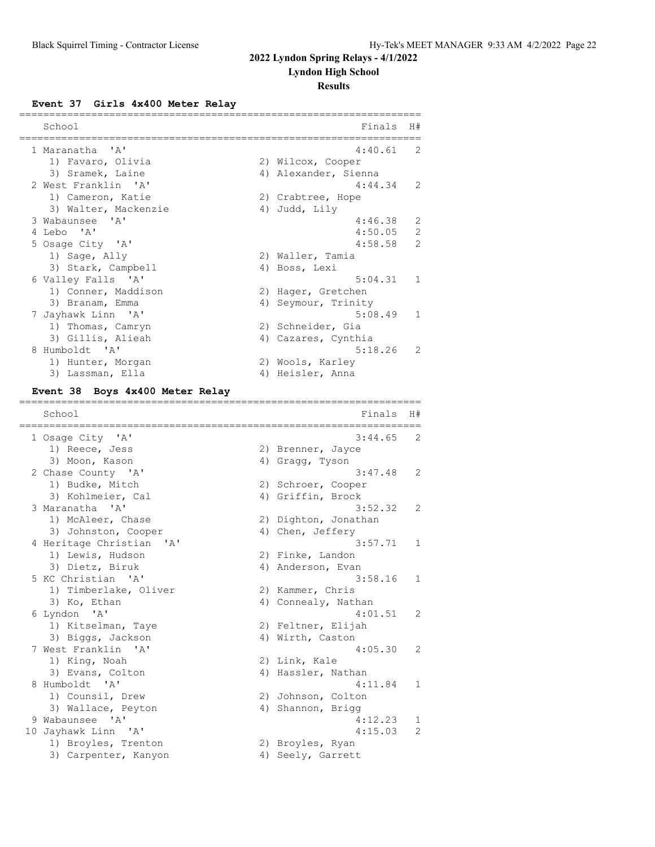# **Lyndon High School**

### **Results**

**Event 37 Girls 4x400 Meter Relay**

| School                                       | Finals                                | H#           |
|----------------------------------------------|---------------------------------------|--------------|
| $^{\prime}$ A $^{\prime}$<br>1 Maranatha     | 4:40.61                               | 2            |
| 1) Favaro, Olivia                            | 2) Wilcox, Cooper                     |              |
| 3) Sramek, Laine                             | 4) Alexander, Sienna                  |              |
| 2 West Franklin 'A'                          | 4:44.34                               | 2            |
| 1) Cameron, Katie                            | 2) Crabtree, Hope                     |              |
| 3) Walter, Mackenzie                         | 4) Judd, Lily                         |              |
| 3 Wabaunsee<br>$\mathsf{A}$                  | 4:46.38                               | 2            |
| 4 Lebo 'A'                                   | 4:50.05                               | 2            |
| 5 Osage City 'A'                             | 4:58.58                               | 2            |
| 1) Sage, Ally                                | 2) Waller, Tamia                      |              |
| 3) Stark, Campbell                           | 4) Boss, Lexi                         |              |
| 6 Valley Falls 'A'                           | 5:04.31                               | 1            |
| 1) Conner, Maddison                          | 2) Hager, Gretchen                    |              |
| 3) Branam, Emma                              | 4) Seymour, Trinity                   |              |
| 7 Jayhawk Linn 'A'                           | 5:08.49                               | $\mathbf{1}$ |
| 1) Thomas, Camryn                            | 2) Schneider, Gia                     |              |
| 3) Gillis, Alieah                            | 4) Cazares, Cynthia                   |              |
| 8 Humboldt 'A'                               | 5:18.26                               | 2            |
| 1) Hunter, Morgan                            | 2) Wools, Karley                      |              |
| 3) Lassman, Ella                             | 4) Heisler, Anna                      |              |
|                                              |                                       |              |
| Boys 4x400 Meter Relay<br><b>Event 38</b>    |                                       |              |
| School                                       | Finals                                | H#           |
| ========================                     |                                       |              |
| 1 Osage City 'A'                             | 3:44.65                               | 2            |
| 1) Reece, Jess                               | 2) Brenner, Jayce                     |              |
| 3) Moon, Kason                               | 4) Gragg, Tyson                       |              |
| 2 Chase County 'A'                           | 3:47.48                               | 2            |
| 1) Budke, Mitch                              | 2) Schroer, Cooper                    |              |
| 3) Kohlmeier, Cal                            | 4) Griffin, Brock                     |              |
| 3 Maranatha 'A'                              | 3:52.32                               | 2            |
| 1) McAleer, Chase                            | 2) Dighton, Jonathan                  |              |
| 3) Johnston, Cooper                          | 4) Chen, Jeffery                      |              |
| 4 Heritage Christian<br>' A'                 | 3:57.71                               | 1            |
| 1) Lewis, Hudson                             | 2) Finke, Landon                      |              |
| 3) Dietz, Biruk                              | 4) Anderson, Evan                     |              |
| 5 KC Christian 'A'                           | 3:58.16                               | 1            |
| 1) Timberlake, Oliver                        | 2) Kammer, Chris                      |              |
| 3) Ko, Ethan                                 | 4) Connealy, Nathan                   |              |
| 6 Lyndon 'A'                                 | 4:01.51                               | 2            |
| 1) Kitselman, Taye                           | 2) Feltner, Elijah                    |              |
| 3) Biggs, Jackson                            | 4) Wirth, Caston                      |              |
| 7 West Franklin<br>$^{\prime}$ A $^{\prime}$ | 4:05.30                               | 2            |
| 1) King, Noah                                | 2) Link, Kale                         |              |
| 3) Evans, Colton                             | 4) Hassler, Nathan                    |              |
| 8 Humboldt<br>' A'                           | 4:11.84                               | 1            |
| 1) Counsil, Drew                             | 2) Johnson, Colton                    |              |
| 3) Wallace, Peyton                           | 4) Shannon, Brigg                     |              |
| 9 Wabaunsee 'A'                              | 4:12.23                               | 1            |
| 10 Jayhawk Linn<br>$^{\prime}$ A $^{\prime}$ | 4:15.03                               | 2            |
| 1) Broyles, Trenton<br>3) Carpenter, Kanyon  | 2) Broyles, Ryan<br>4) Seely, Garrett |              |
|                                              |                                       |              |